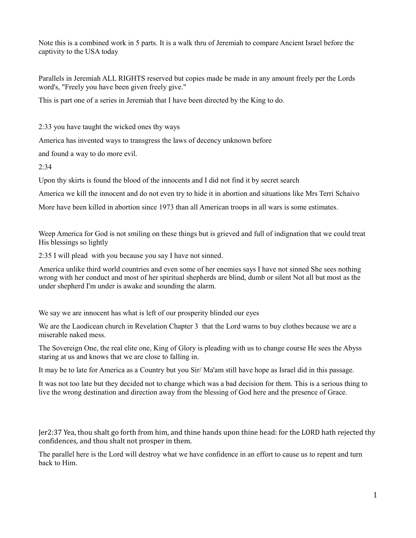Note this is a combined work in 5 parts. It is a walk thru of Jeremiah to compare Ancient Israel before the captivity to the USA today

Parallels in Jeremiah ALL RIGHTS reserved but copies made be made in any amount freely per the Lords word's, "Freely you have been given freely give."

This is part one of a series in Jeremiah that I have been directed by the King to do.

2:33 you have taught the wicked ones thy ways

America has invented ways to transgress the laws of decency unknown before

and found a way to do more evil.

 $2:34$ 

Upon thy skirts is found the blood of the innocents and I did not find it by secret search

America we kill the innocent and do not even try to hide it in abortion and situations like Mrs Terri Schaivo

More have been killed in abortion since 1973 than all American troops in all wars is some estimates.

Weep America for God is not smiling on these things but is grieved and full of indignation that we could treat His blessings so lightly

2:35 I will plead with you because you say I have not sinned.

America unlike third world countries and even some of her enemies says I have not sinned She sees nothing wrong with her conduct and most of her spiritual shepherds are blind, dumb or silent Not all but most as the under shepherd I'm under is awake and sounding the alarm.

We say we are innocent has what is left of our prosperity blinded our eyes

We are the Laodicean church in Revelation Chapter 3 that the Lord warns to buy clothes because we are a miserable naked mess.

The Sovereign One, the real elite one, King of Glory is pleading with us to change course He sees the Abyss staring at us and knows that we are close to falling in.

It may be to late for America as a Country but you Sir/ Ma'am still have hope as Israel did in this passage.

It was not too late but they decided not to change which was a bad decision for them. This is a serious thing to live the wrong destination and direction away from the blessing of God here and the presence of Grace.

Jer2:37 Yea, thou shalt go forth from him, and thine hands upon thine head: for the LORD hath rejected thy confidences, and thou shalt not prosper in them.

The parallel here is the Lord will destroy what we have confidence in an effort to cause us to repent and turn back to Him.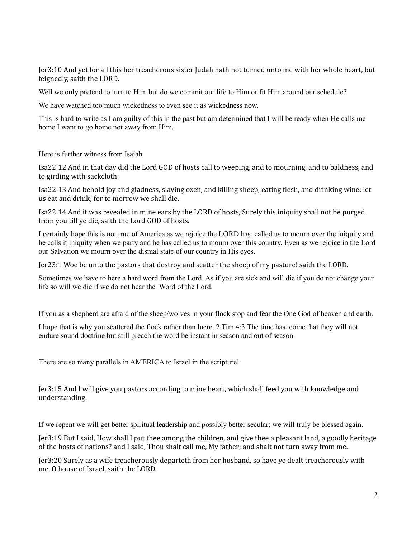Jer3:10 And yet for all this her treacherous sister Judah hath not turned unto me with her whole heart, but feignedly, saith the LORD.

Well we only pretend to turn to Him but do we commit our life to Him or fit Him around our schedule?

We have watched too much wickedness to even see it as wickedness now.

This is hard to write as I am guilty of this in the past but am determined that I will be ready when He calls me home I want to go home not away from Him.

Here is further witness from Isaiah

Isa22:12 And in that day did the Lord GOD of hosts call to weeping, and to mourning, and to baldness, and to girding with sackcloth:

Isa22:13 And behold joy and gladness, slaying oxen, and killing sheep, eating flesh, and drinking wine: let us eat and drink; for to morrow we shall die.

Isa22:14 And it was revealed in mine ears by the LORD of hosts, Surely this iniquity shall not be purged from you till ye die, saith the Lord GOD of hosts.

I certainly hope this is not true of America as we rejoice the LORD has called us to mourn over the iniquity and he calls it iniquity when we party and he has called us to mourn over this country. Even as we rejoice in the Lord our Salvation we mourn over the dismal state of our country in His eyes.

Jer23:1 Woe be unto the pastors that destroy and scatter the sheep of my pasture! saith the LORD.

Sometimes we have to here a hard word from the Lord. As if you are sick and will die if you do not change your life so will we die if we do not hear the Word of the Lord.

If you as a shepherd are afraid of the sheep/wolves in your flock stop and fear the One God of heaven and earth.

I hope that is why you scattered the flock rather than lucre. 2 Tim 4:3 The time has come that they will not endure sound doctrine but still preach the word be instant in season and out of season.

There are so many parallels in AMERICA to Israel in the scripture!

Jer3:15 And I will give you pastors according to mine heart, which shall feed you with knowledge and understanding.

If we repent we will get better spiritual leadership and possibly better secular; we will truly be blessed again.

Jer3:19 But I said, How shall I put thee among the children, and give thee a pleasant land, a goodly heritage of the hosts of nations? and I said, Thou shalt call me, My father; and shalt not turn away from me.

Jer3:20 Surely as a wife treacherously departeth from her husband, so have ye dealt treacherously with me, O house of Israel, saith the LORD.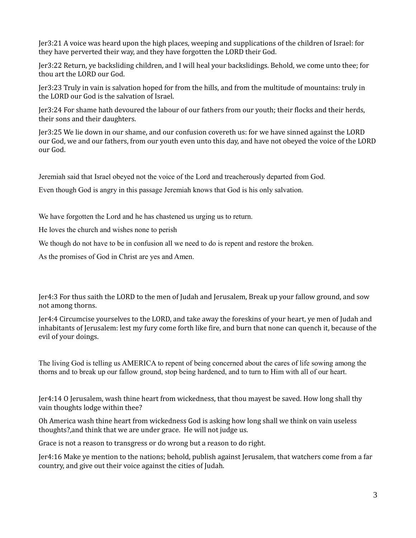Jer3:21 A voice was heard upon the high places, weeping and supplications of the children of Israel: for they have perverted their way, and they have forgotten the LORD their God.

Jer3:22 Return, ye backsliding children, and I will heal your backslidings. Behold, we come unto thee; for thou art the LORD our God.

Jer3:23 Truly in vain is salvation hoped for from the hills, and from the multitude of mountains: truly in the LORD our God is the salvation of Israel.

Jer3:24 For shame hath devoured the labour of our fathers from our youth; their flocks and their herds, their sons and their daughters.

Jer3:25 We lie down in our shame, and our confusion covereth us: for we have sinned against the LORD our God, we and our fathers, from our youth even unto this day, and have not obeyed the voice of the LORD our God.

Jeremiah said that Israel obeyed not the voice of the Lord and treacherously departed from God.

Even though God is angry in this passage Jeremiah knows that God is his only salvation.

We have forgotten the Lord and he has chastened us urging us to return.

He loves the church and wishes none to perish

We though do not have to be in confusion all we need to do is repent and restore the broken.

As the promises of God in Christ are yes and Amen.

Jer4:3 For thus saith the LORD to the men of Judah and Jerusalem, Break up your fallow ground, and sow not among thorns.

Jer4:4 Circumcise yourselves to the LORD, and take away the foreskins of your heart, ye men of Judah and inhabitants of Jerusalem: lest my fury come forth like fire, and burn that none can quench it, because of the evil of your doings.

The living God is telling us AMERICA to repent of being concerned about the cares of life sowing among the thorns and to break up our fallow ground, stop being hardened, and to turn to Him with all of our heart.

Jer4:14 O Jerusalem, wash thine heart from wickedness, that thou mayest be saved. How long shall thy vain thoughts lodge within thee?

Oh America wash thine heart from wickedness God is asking how long shall we think on vain useless thoughts?,and think that we are under grace. He will not judge us.

Grace is not a reason to transgress or do wrong but a reason to do right.

Jer4:16 Make ye mention to the nations; behold, publish against Jerusalem, that watchers come from a far country, and give out their voice against the cities of Judah.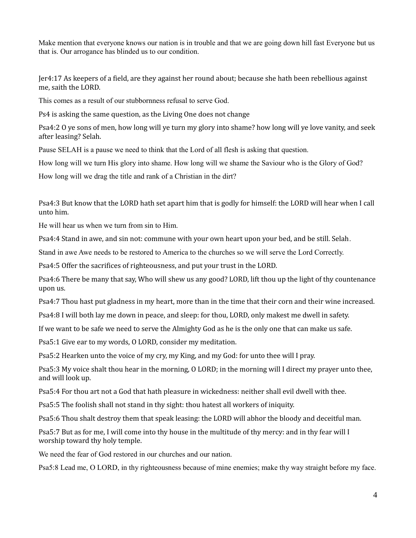Make mention that everyone knows our nation is in trouble and that we are going down hill fast Everyone but us that is. Our arrogance has blinded us to our condition.

Jer4:17 As keepers of a field, are they against her round about; because she hath been rebellious against me, saith the LORD.

This comes as a result of our stubbornness refusal to serve God.

Ps4 is asking the same question, as the Living One does not change

Psa4:2 O ye sons of men, how long will ye turn my glory into shame? how long will ye love vanity, and seek after leasing? Selah.

Pause SELAH is a pause we need to think that the Lord of all flesh is asking that question.

How long will we turn His glory into shame. How long will we shame the Saviour who is the Glory of God?

How long will we drag the title and rank of a Christian in the dirt?

Psa4:3 But know that the LORD hath set apart him that is godly for himself: the LORD will hear when I call unto him.

He will hear us when we turn from sin to Him.

Psa4:4 Stand in awe, and sin not: commune with your own heart upon your bed, and be still. Selah.

Stand in awe Awe needs to be restored to America to the churches so we will serve the Lord Correctly.

Psa4:5 Offer the sacrifices of righteousness, and put your trust in the LORD.

Psa4:6 There be many that say, Who will shew us any good? LORD, lift thou up the light of thy countenance upon us.

Psa4:7 Thou hast put gladness in my heart, more than in the time that their corn and their wine increased.

Psa4:8 I will both lay me down in peace, and sleep: for thou, LORD, only makest me dwell in safety.

If we want to be safe we need to serve the Almighty God as he is the only one that can make us safe.

Psa5:1 Give ear to my words, O LORD, consider my meditation.

Psa5:2 Hearken unto the voice of my cry, my King, and my God: for unto thee will I pray.

Psa5:3 My voice shalt thou hear in the morning, O LORD; in the morning will I direct my prayer unto thee, and will look up.

Psa5:4 For thou art not a God that hath pleasure in wickedness: neither shall evil dwell with thee.

Psa5:5 The foolish shall not stand in thy sight: thou hatest all workers of iniquity.

Psa5:6 Thou shalt destroy them that speak leasing: the LORD will abhor the bloody and deceitful man.

Psa5:7 But as for me, I will come into thy house in the multitude of thy mercy: and in thy fear will I worship toward thy holy temple.

We need the fear of God restored in our churches and our nation.

Psa5:8 Lead me, O LORD, in thy righteousness because of mine enemies; make thy way straight before my face.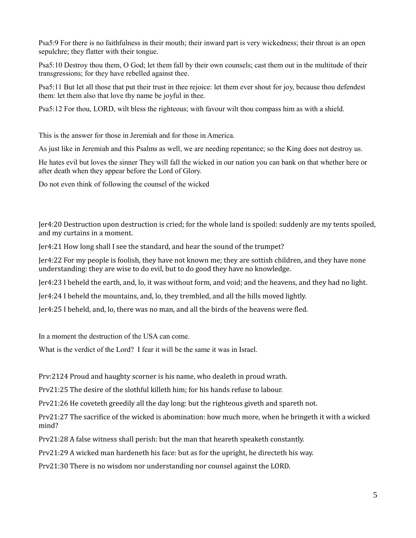Psa5:9 For there is no faithfulness in their mouth; their inward part is very wickedness; their throat is an open sepulchre; they flatter with their tongue.

Psa5:10 Destroy thou them, O God; let them fall by their own counsels; cast them out in the multitude of their transgressions; for they have rebelled against thee.

Psa5:11 But let all those that put their trust in thee rejoice: let them ever shout for joy, because thou defendest them: let them also that love thy name be joyful in thee.

Psa5:12 For thou, LORD, wilt bless the righteous; with favour wilt thou compass him as with a shield.

This is the answer for those in Jeremiah and for those in America.

As just like in Jeremiah and this Psalms as well, we are needing repentance; so the King does not destroy us.

He hates evil but loves the sinner They will fall the wicked in our nation you can bank on that whether here or after death when they appear before the Lord of Glory.

Do not even think of following the counsel of the wicked

Jer4:20 Destruction upon destruction is cried; for the whole land is spoiled: suddenly are my tents spoiled, and my curtains in a moment.

Jer4:21 How long shall I see the standard, and hear the sound of the trumpet?

Jer4:22 For my people is foolish, they have not known me; they are sottish children, and they have none understanding: they are wise to do evil, but to do good they have no knowledge.

Jer4:23 I beheld the earth, and, lo, it was without form, and void; and the heavens, and they had no light.

Jer4:24 I beheld the mountains, and, lo, they trembled, and all the hills moved lightly.

Jer4:25 I beheld, and, lo, there was no man, and all the birds of the heavens were fled.

In a moment the destruction of the USA can come.

What is the verdict of the Lord? I fear it will be the same it was in Israel.

Prv:2124 Proud and haughty scorner is his name, who dealeth in proud wrath.

Prv21:25 The desire of the slothful killeth him; for his hands refuse to labour.

Prv21:26 He coveteth greedily all the day long: but the righteous giveth and spareth not.

Prv21:27 The sacrifice of the wicked is abomination: how much more, when he bringeth it with a wicked mind?

Prv21:28 A false witness shall perish: but the man that heareth speaketh constantly.

Prv21:29 A wicked man hardeneth his face: but as for the upright, he directeth his way.

Prv21:30 There is no wisdom nor understanding nor counsel against the LORD.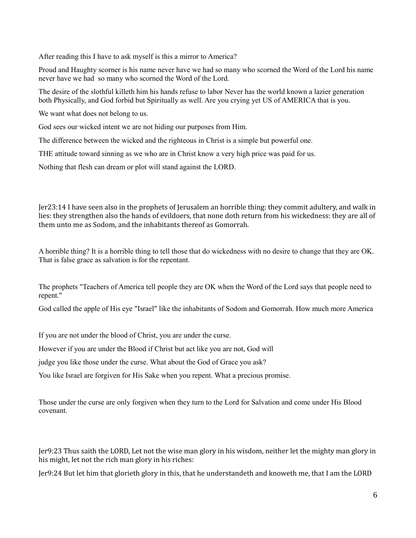After reading this I have to ask myself is this a mirror to America?

Proud and Haughty scorner is his name never have we had so many who scorned the Word of the Lord his name never have we had so many who scorned the Word of the Lord.

The desire of the slothful killeth him his hands refuse to labor Never has the world known a lazier generation both Physically, and God forbid but Spiritually as well. Are you crying yet US of AMERICA that is you.

We want what does not belong to us.

God sees our wicked intent we are not hiding our purposes from Him.

The difference between the wicked and the righteous in Christ is a simple but powerful one.

THE attitude toward sinning as we who are in Christ know a very high price was paid for us.

Nothing that flesh can dream or plot will stand against the LORD.

Jer23:14 I have seen also in the prophets of Jerusalem an horrible thing: they commit adultery, and walk in lies: they strengthen also the hands of evildoers, that none doth return from his wickedness: they are all of them unto me as Sodom, and the inhabitants thereof as Gomorrah.

A horrible thing? It is a horrible thing to tell those that do wickedness with no desire to change that they are OK. That is false grace as salvation is for the repentant.

The prophets "Teachers of America tell people they are OK when the Word of the Lord says that people need to repent."

God called the apple of His eye "Israel" like the inhabitants of Sodom and Gomorrah. How much more America

If you are not under the blood of Christ, you are under the curse.

However if you are under the Blood if Christ but act like you are not, God will

judge you like those under the curse. What about the God of Grace you ask?

You like Israel are forgiven for His Sake when you repent. What a precious promise.

Those under the curse are only forgiven when they turn to the Lord for Salvation and come under His Blood covenant.

Jer9:23 Thus saith the LORD, Let not the wise man glory in his wisdom, neither let the mighty man glory in his might, let not the rich man glory in his riches:

Jer9:24 But let him that glorieth glory in this, that he understandeth and knoweth me, that I am the LORD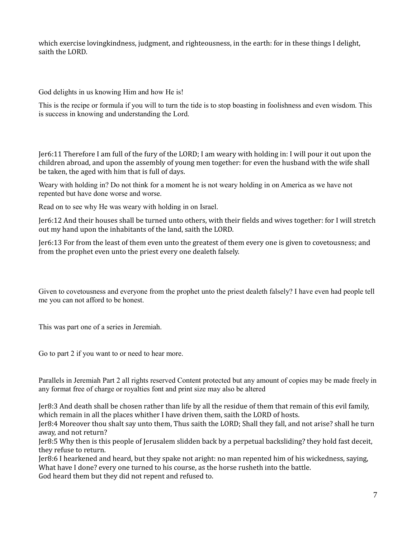which exercise lovingkindness, judgment, and righteousness, in the earth: for in these things I delight, saith the LORD.

God delights in us knowing Him and how He is!

This is the recipe or formula if you will to turn the tide is to stop boasting in foolishness and even wisdom. This is success in knowing and understanding the Lord.

Jer6:11 Therefore I am full of the fury of the LORD; I am weary with holding in: I will pour it out upon the children abroad, and upon the assembly of young men together: for even the husband with the wife shall be taken, the aged with him that is full of days.

Weary with holding in? Do not think for a moment he is not weary holding in on America as we have not repented but have done worse and worse.

Read on to see why He was weary with holding in on Israel.

Jer6:12 And their houses shall be turned unto others, with their fields and wives together: for I will stretch out my hand upon the inhabitants of the land, saith the LORD.

Jer6:13 For from the least of them even unto the greatest of them every one is given to covetousness; and from the prophet even unto the priest every one dealeth falsely.

Given to covetousness and everyone from the prophet unto the priest dealeth falsely? I have even had people tell me you can not afford to be honest.

This was part one of a series in Jeremiah.

Go to part 2 if you want to or need to hear more.

Parallels in Jeremiah Part 2 all rights reserved Content protected but any amount of copies may be made freely in any format free of charge or royalties font and print size may also be altered

Jer8:3 And death shall be chosen rather than life by all the residue of them that remain of this evil family, which remain in all the places whither I have driven them, saith the LORD of hosts.

Jer8:4 Moreover thou shalt say unto them, Thus saith the LORD; Shall they fall, and not arise? shall he turn away, and not return?

Jer8:5 Why then is this people of Jerusalem slidden back by a perpetual backsliding? they hold fast deceit, they refuse to return.

Jer8:6 I hearkened and heard, but they spake not aright: no man repented him of his wickedness, saying, What have I done? every one turned to his course, as the horse rusheth into the battle.

God heard them but they did not repent and refused to.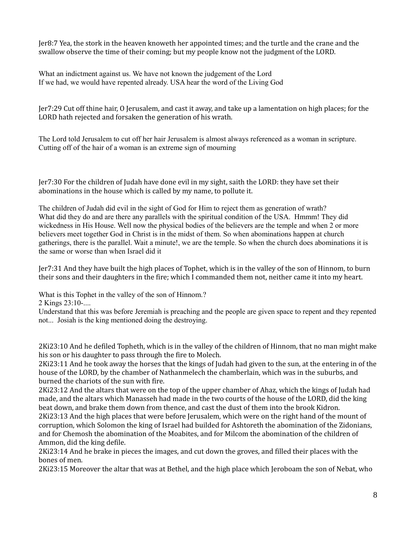Jer8:7 Yea, the stork in the heaven knoweth her appointed times; and the turtle and the crane and the swallow observe the time of their coming; but my people know not the judgment of the LORD.

What an indictment against us. We have not known the judgement of the Lord If we had, we would have repented already. USA hear the word of the Living God

Jer7:29 Cut off thine hair, O Jerusalem, and cast it away, and take up a lamentation on high places; for the LORD hath rejected and forsaken the generation of his wrath.

The Lord told Jerusalem to cut off her hair Jerusalem is almost always referenced as a woman in scripture. Cutting off of the hair of a woman is an extreme sign of mourning

Jer7:30 For the children of Judah have done evil in my sight, saith the LORD: they have set their abominations in the house which is called by my name, to pollute it.

The children of Judah did evil in the sight of God for Him to reject them as generation of wrath? What did they do and are there any parallels with the spiritual condition of the USA. Hmmm! They did wickedness in His House. Well now the physical bodies of the believers are the temple and when 2 or more believers meet together God in Christ is in the midst of them. So when abominations happen at church gatherings, there is the parallel. Wait a minute!, we are the temple. So when the church does abominations it is the same or worse than when Israel did it

Jer7:31 And they have built the high places of Tophet, which is in the valley of the son of Hinnom, to burn their sons and their daughters in the fire; which I commanded them not, neither came it into my heart.

What is this Tophet in the valley of the son of Hinnom.?

2 Kings 23:10-....

Understand that this was before Jeremiah is preaching and the people are given space to repent and they repented not... Josiah is the king mentioned doing the destroying.

2Ki23:10 And he defiled Topheth, which is in the valley of the children of Hinnom, that no man might make his son or his daughter to pass through the fire to Molech.

2Ki23:11 And he took away the horses that the kings of Judah had given to the sun, at the entering in of the house of the LORD, by the chamber of Nathanmelech the chamberlain, which was in the suburbs, and burned the chariots of the sun with fire.

2Ki23:12 And the altars that were on the top of the upper chamber of Ahaz, which the kings of Judah had made, and the altars which Manasseh had made in the two courts of the house of the LORD, did the king beat down, and brake them down from thence, and cast the dust of them into the brook Kidron.

2Ki23:13 And the high places that were before Jerusalem, which were on the right hand of the mount of corruption, which Solomon the king of Israel had builded for Ashtoreth the abomination of the Zidonians, and for Chemosh the abomination of the Moabites, and for Milcom the abomination of the children of Ammon, did the king defile.

2Ki23:14 And he brake in pieces the images, and cut down the groves, and filled their places with the bones of men.

2Ki23:15 Moreover the altar that was at Bethel, and the high place which Jeroboam the son of Nebat, who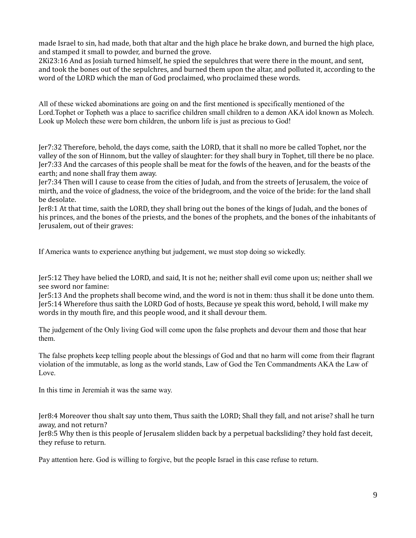made Israel to sin, had made, both that altar and the high place he brake down, and burned the high place, and stamped it small to powder, and burned the grove.

2Ki23:16 And as Josiah turned himself, he spied the sepulchres that were there in the mount, and sent, and took the bones out of the sepulchres, and burned them upon the altar, and polluted it, according to the word of the LORD which the man of God proclaimed, who proclaimed these words.

All of these wicked abominations are going on and the first mentioned is specifically mentioned of the Lord.Tophet or Topheth was a place to sacrifice children small children to a demon AKA idol known as Molech. Look up Molech these were born children, the unborn life is just as precious to God!

Jer7:32 Therefore, behold, the days come, saith the LORD, that it shall no more be called Tophet, nor the valley of the son of Hinnom, but the valley of slaughter: for they shall bury in Tophet, till there be no place. Jer7:33 And the carcases of this people shall be meat for the fowls of the heaven, and for the beasts of the earth; and none shall fray them away.

Jer7:34 Then will I cause to cease from the cities of Judah, and from the streets of Jerusalem, the voice of mirth, and the voice of gladness, the voice of the bridegroom, and the voice of the bride: for the land shall be desolate.

Jer8:1 At that time, saith the LORD, they shall bring out the bones of the kings of Judah, and the bones of his princes, and the bones of the priests, and the bones of the prophets, and the bones of the inhabitants of Jerusalem, out of their graves:

If America wants to experience anything but judgement, we must stop doing so wickedly.

Jer5:12 They have belied the LORD, and said, It is not he; neither shall evil come upon us; neither shall we see sword nor famine:

Jer5:13 And the prophets shall become wind, and the word is not in them: thus shall it be done unto them. Jer5:14 Wherefore thus saith the LORD God of hosts, Because ye speak this word, behold, I will make my words in thy mouth fire, and this people wood, and it shall devour them.

The judgement of the Only living God will come upon the false prophets and devour them and those that hear them.

The false prophets keep telling people about the blessings of God and that no harm will come from their flagrant violation of the immutable, as long as the world stands, Law of God the Ten Commandments AKA the Law of Love.

In this time in Jeremiah it was the same way.

Jer8:4 Moreover thou shalt say unto them, Thus saith the LORD; Shall they fall, and not arise? shall he turn away, and not return?

Jer8:5 Why then is this people of Jerusalem slidden back by a perpetual backsliding? they hold fast deceit, they refuse to return.

Pay attention here. God is willing to forgive, but the people Israel in this case refuse to return.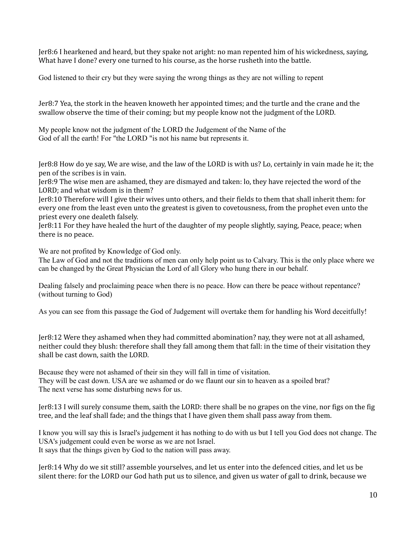Jer8:6 I hearkened and heard, but they spake not aright: no man repented him of his wickedness, saying, What have I done? every one turned to his course, as the horse rusheth into the battle.

God listened to their cry but they were saying the wrong things as they are not willing to repent

Jer8:7 Yea, the stork in the heaven knoweth her appointed times; and the turtle and the crane and the swallow observe the time of their coming; but my people know not the judgment of the LORD.

My people know not the judgment of the LORD the Judgement of the Name of the God of all the earth! For "the LORD "is not his name but represents it.

Jer8:8 How do ye say, We are wise, and the law of the LORD is with us? Lo, certainly in vain made he it; the pen of the scribes is in vain.

Jer8:9 The wise men are ashamed, they are dismayed and taken: lo, they have rejected the word of the LORD; and what wisdom is in them?

Jer8:10 Therefore will I give their wives unto others, and their fields to them that shall inherit them: for every one from the least even unto the greatest is given to covetousness, from the prophet even unto the priest every one dealeth falsely.

Jer8:11 For they have healed the hurt of the daughter of my people slightly, saying, Peace, peace; when there is no peace.

We are not profited by Knowledge of God only.

The Law of God and not the traditions of men can only help point us to Calvary. This is the only place where we can be changed by the Great Physician the Lord of all Glory who hung there in our behalf.

Dealing falsely and proclaiming peace when there is no peace. How can there be peace without repentance? (without turning to God)

As you can see from this passage the God of Judgement will overtake them for handling his Word deceitfully!

Jer8:12 Were they ashamed when they had committed abomination? nay, they were not at all ashamed, neither could they blush: therefore shall they fall among them that fall: in the time of their visitation they shall be cast down, saith the LORD.

Because they were not ashamed of their sin they will fall in time of visitation. They will be cast down. USA are we ashamed or do we flaunt our sin to heaven as a spoiled brat? The next verse has some disturbing news for us.

Jer8:13 I will surely consume them, saith the LORD: there shall be no grapes on the vine, nor figs on the fig tree, and the leaf shall fade; and the things that I have given them shall pass away from them.

I know you will say this is Israel's judgement it has nothing to do with us but I tell you God does not change. The USA's judgement could even be worse as we are not Israel. It says that the things given by God to the nation will pass away.

Jer8:14 Why do we sit still? assemble yourselves, and let us enter into the defenced cities, and let us be silent there: for the LORD our God hath put us to silence, and given us water of gall to drink, because we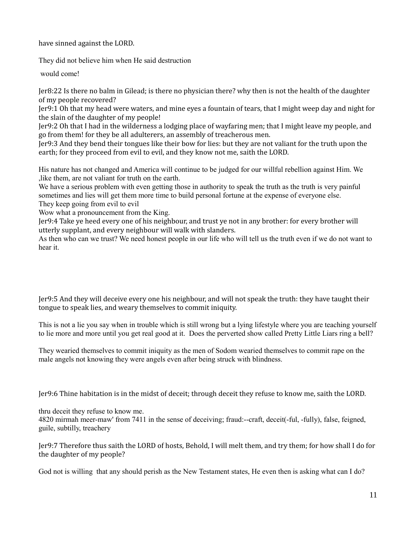have sinned against the LORD.

They did not believe him when He said destruction

would come!

Jer8:22 Is there no balm in Gilead; is there no physician there? why then is not the health of the daughter of my people recovered?

Jer9:1 Oh that my head were waters, and mine eyes a fountain of tears, that I might weep day and night for the slain of the daughter of my people!

Jer9:2 Oh that I had in the wilderness a lodging place of wayfaring men; that I might leave my people, and go from them! for they be all adulterers, an assembly of treacherous men.

Jer9:3 And they bend their tongues like their bow for lies: but they are not valiant for the truth upon the earth; for they proceed from evil to evil, and they know not me, saith the LORD.

His nature has not changed and America will continue to be judged for our willful rebellion against Him. We ,like them, are not valiant for truth on the earth.

We have a serious problem with even getting those in authority to speak the truth as the truth is very painful sometimes and lies will get them more time to build personal fortune at the expense of everyone else.

They keep going from evil to evil

Wow what a pronouncement from the King.

Jer9:4 Take ye heed every one of his neighbour, and trust ye not in any brother: for every brother will utterly supplant, and every neighbour will walk with slanders.

As then who can we trust? We need honest people in our life who will tell us the truth even if we do not want to hear it.

Jer9:5 And they will deceive every one his neighbour, and will not speak the truth: they have taught their tongue to speak lies, and weary themselves to commit iniquity.

This is not a lie you say when in trouble which is still wrong but a lying lifestyle where you are teaching yourself to lie more and more until you get real good at it. Does the perverted show called Pretty Little Liars ring a bell?

They wearied themselves to commit iniquity as the men of Sodom wearied themselves to commit rape on the male angels not knowing they were angels even after being struck with blindness.

Jer9:6 Thine habitation is in the midst of deceit; through deceit they refuse to know me, saith the LORD.

thru deceit they refuse to know me.

4820 mirmah meer-maw' from 7411 in the sense of deceiving; fraud:--craft, deceit(-ful, -fully), false, feigned, guile, subtilly, treachery

Jer9:7 Therefore thus saith the LORD of hosts, Behold, I will melt them, and try them; for how shall I do for the daughter of my people?

God not is willing that any should perish as the New Testament states, He even then is asking what can I do?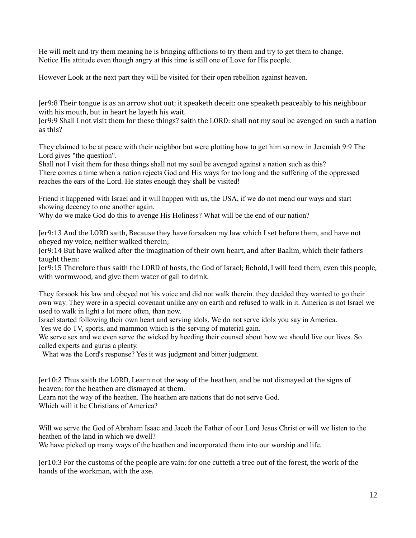He will melt and try them meaning he is bringing afflictions to try them and try to get them to change. Notice His attitude even though angry at this time is still one of Love for His people.

However Look at the next part they will be visited for their open rebellion against heaven.

Jer9:8 Their tongue is as an arrow shot out; it speaketh deceit: one speaketh peaceably to his neighbour with his mouth, but in heart he layeth his wait.

Jer9:9 Shall I not visit them for these things? saith the LORD: shall not my soul be avenged on such a nation as this?

They claimed to be at peace with their neighbor but were plotting how to get him so now in Jeremiah 9:9 The Lord gives "the question".

Shall not I visit them for these things shall not my soul be avenged against a nation such as this? There comes a time when a nation rejects God and His ways for too long and the suffering of the oppressed reaches the ears of the Lord. He states enough they shall be visited!

Friend it happened with Israel and it will happen with us, the USA, if we do not mend our ways and start showing decency to one another again.

Why do we make God do this to avenge His Holiness? What will be the end of our nation?

Jer9:13 And the LORD saith, Because they have forsaken my law which I set before them, and have not obeyed my voice, neither walked therein;

Jer9:14 But have walked after the imagination of their own heart, and after Baalim, which their fathers taught them:

Jer9:15 Therefore thus saith the LORD of hosts, the God of Israel; Behold, I will feed them, even this people, with wormwood, and give them water of gall to drink.

They forsook his law and obeyed not his voice and did not walk therein. they decided they wanted to go their own way. They were in a special covenant unlike any on earth and refused to walk in it. America is not Israel we used to walk in light a lot more often, than now.

Israel started following their own heart and serving idols. We do not serve idols you say in America.

Yes we do TV, sports, and mammon which is the serving of material gain.

We serve sex and we even serve the wicked by heeding their counsel about how we should live our lives. So called experts and gurus a plenty.

What was the Lord's response? Yes it was judgment and bitter judgment.

Jer10:2 Thus saith the LORD, Learn not the way of the heathen, and be not dismayed at the signs of heaven; for the heathen are dismayed at them.

Learn not the way of the heathen. The heathen are nations that do not serve God.

Which will it be Christians of America?

Will we serve the God of Abraham Isaac and Jacob the Father of our Lord Jesus Christ or will we listen to the heathen of the land in which we dwell?

We have picked up many ways of the heathen and incorporated them into our worship and life.

Jer10:3 For the customs of the people are vain: for one cutteth a tree out of the forest, the work of the hands of the workman, with the axe.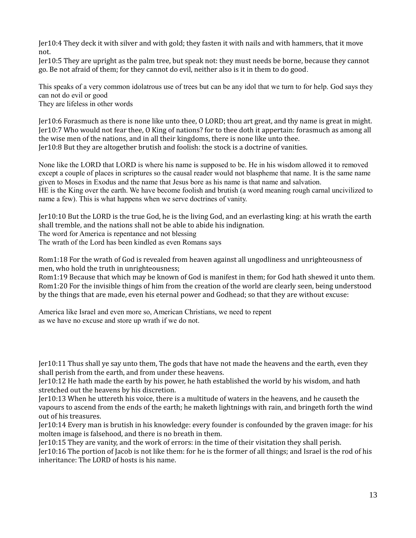Jer10:4 They deck it with silver and with gold; they fasten it with nails and with hammers, that it move not.

Jer10:5 They are upright as the palm tree, but speak not: they must needs be borne, because they cannot go. Be not afraid of them; for they cannot do evil, neither also is it in them to do good.

This speaks of a very common idolatrous use of trees but can be any idol that we turn to for help. God says they can not do evil or good

They are lifeless in other words

Jer10:6 Forasmuch as there is none like unto thee, O LORD; thou art great, and thy name is great in might. Jer10:7 Who would not fear thee, O King of nations? for to thee doth it appertain: forasmuch as among all the wise men of the nations, and in all their kingdoms, there is none like unto thee. Jer10:8 But they are altogether brutish and foolish: the stock is a doctrine of vanities.

None like the LORD that LORD is where his name is supposed to be. He in his wisdom allowed it to removed except a couple of places in scriptures so the causal reader would not blaspheme that name. It is the same name given to Moses in Exodus and the name that Jesus bore as his name is that name and salvation. HE is the King over the earth. We have become foolish and brutish (a word meaning rough carnal uncivilized to name a few). This is what happens when we serve doctrines of vanity.

Jer10:10 But the LORD is the true God, he is the living God, and an everlasting king: at his wrath the earth shall tremble, and the nations shall not be able to abide his indignation. The word for America is repentance and not blessing

The wrath of the Lord has been kindled as even Romans says

Rom1:18 For the wrath of God is revealed from heaven against all ungodliness and unrighteousness of men, who hold the truth in unrighteousness;

Rom1:19 Because that which may be known of God is manifest in them; for God hath shewed it unto them. Rom1:20 For the invisible things of him from the creation of the world are clearly seen, being understood by the things that are made, even his eternal power and Godhead; so that they are without excuse:

America like Israel and even more so, American Christians, we need to repent as we have no excuse and store up wrath if we do not.

Jer10:11 Thus shall ye say unto them, The gods that have not made the heavens and the earth, even they shall perish from the earth, and from under these heavens.

Jer10:12 He hath made the earth by his power, he hath established the world by his wisdom, and hath stretched out the heavens by his discretion.

Jer10:13 When he uttereth his voice, there is a multitude of waters in the heavens, and he causeth the vapours to ascend from the ends of the earth; he maketh lightnings with rain, and bringeth forth the wind out of his treasures.

Jer10:14 Every man is brutish in his knowledge: every founder is confounded by the graven image: for his molten image is falsehood, and there is no breath in them.

Jer10:15 They are vanity, and the work of errors: in the time of their visitation they shall perish.

Jer10:16 The portion of Jacob is not like them: for he is the former of all things; and Israel is the rod of his inheritance: The LORD of hosts is his name.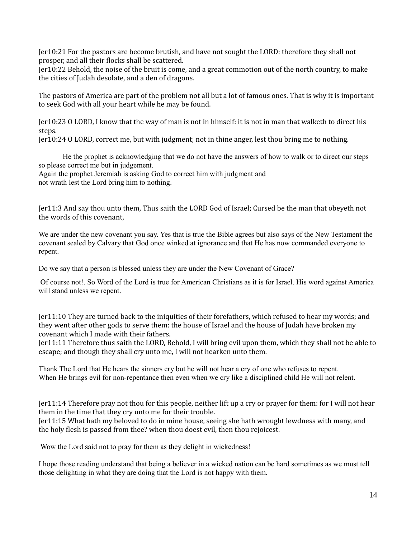Jer10:21 For the pastors are become brutish, and have not sought the LORD: therefore they shall not prosper, and all their flocks shall be scattered.

Jer10:22 Behold, the noise of the bruit is come, and a great commotion out of the north country, to make the cities of Judah desolate, and a den of dragons.

The pastors of America are part of the problem not all but a lot of famous ones. That is why it is important to seek God with all your heart while he may be found.

Jer10:23 O LORD, I know that the way of man is not in himself: it is not in man that walketh to direct his steps.

Jer10:24 O LORD, correct me, but with judgment; not in thine anger, lest thou bring me to nothing.

He the prophet is acknowledging that we do not have the answers of how to walk or to direct our steps so please correct me but in judgement. Again the prophet Jeremiah is asking God to correct him with judgment and

not wrath lest the Lord bring him to nothing.

Jer11:3 And say thou unto them, Thus saith the LORD God of Israel; Cursed be the man that obeyeth not the words of this covenant,

We are under the new covenant you say. Yes that is true the Bible agrees but also says of the New Testament the covenant sealed by Calvary that God once winked at ignorance and that He has now commanded everyone to repent.

Do we say that a person is blessed unless they are under the New Covenant of Grace?

 Of course not!. So Word of the Lord is true for American Christians as it is for Israel. His word against America will stand unless we repent.

Jer11:10 They are turned back to the iniquities of their forefathers, which refused to hear my words; and they went after other gods to serve them: the house of Israel and the house of Judah have broken my covenant which I made with their fathers.

Jer11:11 Therefore thus saith the LORD, Behold, I will bring evil upon them, which they shall not be able to escape; and though they shall cry unto me, I will not hearken unto them.

Thank The Lord that He hears the sinners cry but he will not hear a cry of one who refuses to repent. When He brings evil for non-repentance then even when we cry like a disciplined child He will not relent.

Jer11:14 Therefore pray not thou for this people, neither lift up a cry or prayer for them: for I will not hear them in the time that they cry unto me for their trouble.

Jer11:15 What hath my beloved to do in mine house, seeing she hath wrought lewdness with many, and the holy flesh is passed from thee? when thou doest evil, then thou rejoicest.

Wow the Lord said not to pray for them as they delight in wickedness!

I hope those reading understand that being a believer in a wicked nation can be hard sometimes as we must tell those delighting in what they are doing that the Lord is not happy with them.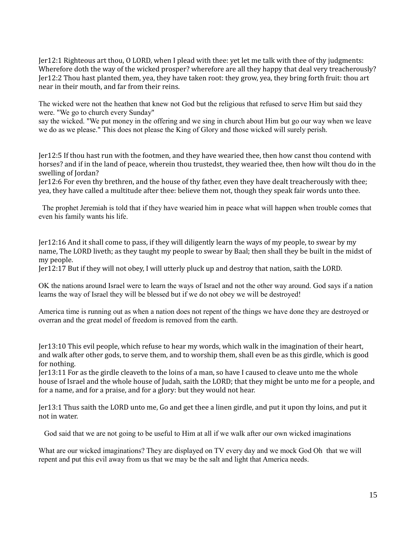Jer12:1 Righteous art thou, O LORD, when I plead with thee: yet let me talk with thee of thy judgments: Wherefore doth the way of the wicked prosper? wherefore are all they happy that deal very treacherously? Jer12:2 Thou hast planted them, yea, they have taken root: they grow, yea, they bring forth fruit: thou art near in their mouth, and far from their reins.

The wicked were not the heathen that knew not God but the religious that refused to serve Him but said they were. "We go to church every Sunday"

say the wicked. "We put money in the offering and we sing in church about Him but go our way when we leave we do as we please." This does not please the King of Glory and those wicked will surely perish.

Jer12:5 If thou hast run with the footmen, and they have wearied thee, then how canst thou contend with horses? and if in the land of peace, wherein thou trustedst, they wearied thee, then how wilt thou do in the swelling of Jordan?

Jer12:6 For even thy brethren, and the house of thy father, even they have dealt treacherously with thee; yea, they have called a multitude after thee: believe them not, though they speak fair words unto thee.

 The prophet Jeremiah is told that if they have wearied him in peace what will happen when trouble comes that even his family wants his life.

Jer12:16 And it shall come to pass, if they will diligently learn the ways of my people, to swear by my name, The LORD liveth; as they taught my people to swear by Baal; then shall they be built in the midst of my people.

Jer12:17 But if they will not obey, I will utterly pluck up and destroy that nation, saith the LORD.

OK the nations around Israel were to learn the ways of Israel and not the other way around. God says if a nation learns the way of Israel they will be blessed but if we do not obey we will be destroyed!

America time is running out as when a nation does not repent of the things we have done they are destroyed or overran and the great model of freedom is removed from the earth.

Jer13:10 This evil people, which refuse to hear my words, which walk in the imagination of their heart, and walk after other gods, to serve them, and to worship them, shall even be as this girdle, which is good for nothing.

Jer13:11 For as the girdle cleaveth to the loins of a man, so have I caused to cleave unto me the whole house of Israel and the whole house of Judah, saith the LORD; that they might be unto me for a people, and for a name, and for a praise, and for a glory: but they would not hear.

Jer13:1 Thus saith the LORD unto me, Go and get thee a linen girdle, and put it upon thy loins, and put it not in water.

God said that we are not going to be useful to Him at all if we walk after our own wicked imaginations

What are our wicked imaginations? They are displayed on TV every day and we mock God Oh that we will repent and put this evil away from us that we may be the salt and light that America needs.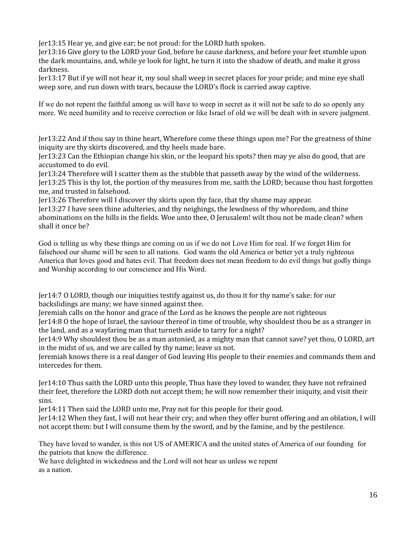Jer13:15 Hear ye, and give ear; be not proud: for the LORD hath spoken.

Jer13:16 Give glory to the LORD your God, before he cause darkness, and before your feet stumble upon the dark mountains, and, while ye look for light, he turn it into the shadow of death, and make it gross darkness.

Jer13:17 But if ye will not hear it, my soul shall weep in secret places for your pride; and mine eye shall weep sore, and run down with tears, because the LORD's flock is carried away captive.

If we do not repent the faithful among us will have to weep in secret as it will not be safe to do so openly any more. We need humility and to receive correction or like Israel of old we will be dealt with in severe judgment.

Jer13:22 And if thou say in thine heart, Wherefore come these things upon me? For the greatness of thine iniquity are thy skirts discovered, and thy heels made bare.

Jer13:23 Can the Ethiopian change his skin, or the leopard his spots? then may ye also do good, that are accustomed to do evil.

Jer13:24 Therefore will I scatter them as the stubble that passeth away by the wind of the wilderness. Jer13:25 This is thy lot, the portion of thy measures from me, saith the LORD; because thou hast forgotten me, and trusted in falsehood.

Jer13:26 Therefore will I discover thy skirts upon thy face, that thy shame may appear.

Jer13:27 I have seen thine adulteries, and thy neighings, the lewdness of thy whoredom, and thine abominations on the hills in the fields. Woe unto thee, O Jerusalem! wilt thou not be made clean? when shall it once be?

God is telling us why these things are coming on us if we do not Love Him for real. If we forget Him for falsehood our shame will be seen to all nations. God wants the old America or better yet a truly righteous America that loves good and hates evil. That freedom does not mean freedom to do evil things but godly things and Worship according to our conscience and His Word.

Jer14:7 O LORD, though our iniquities testify against us, do thou it for thy name's sake: for our backslidings are many; we have sinned against thee.

Jeremiah calls on the honor and grace of the Lord as he knows the people are not righteous

Jer14:8 O the hope of Israel, the saviour thereof in time of trouble, why shouldest thou be as a stranger in the land, and as a wayfaring man that turneth aside to tarry for a night?

Jer14:9 Why shouldest thou be as a man astonied, as a mighty man that cannot save? yet thou, O LORD, art in the midst of us, and we are called by thy name; leave us not.

Jeremiah knows there is a real danger of God leaving His people to their enemies and commands them and intercedes for them.

Jer14:10 Thus saith the LORD unto this people, Thus have they loved to wander, they have not refrained their feet, therefore the LORD doth not accept them; he will now remember their iniquity, and visit their sins.

Jer14:11 Then said the LORD unto me, Pray not for this people for their good.

Jer14:12 When they fast, I will not hear their cry; and when they offer burnt offering and an oblation, I will not accept them: but I will consume them by the sword, and by the famine, and by the pestilence.

They have loved to wander, is this not US of AMERICA and the united states of America of our founding for the patriots that know the difference.

We have delighted in wickedness and the Lord will not hear us unless we repent as a nation.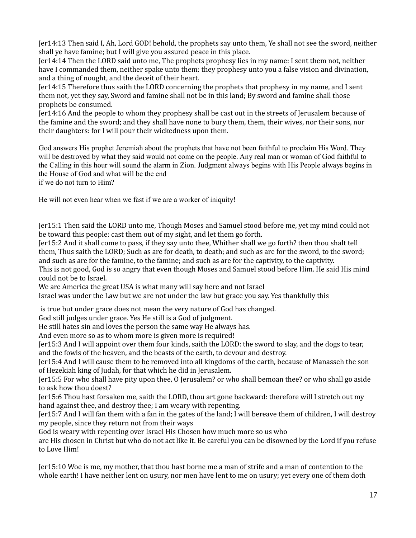Jer14:13 Then said I, Ah, Lord GOD! behold, the prophets say unto them, Ye shall not see the sword, neither shall ye have famine; but I will give you assured peace in this place.

Jer14:14 Then the LORD said unto me, The prophets prophesy lies in my name: I sent them not, neither have I commanded them, neither spake unto them: they prophesy unto you a false vision and divination, and a thing of nought, and the deceit of their heart.

Jer14:15 Therefore thus saith the LORD concerning the prophets that prophesy in my name, and I sent them not, yet they say, Sword and famine shall not be in this land; By sword and famine shall those prophets be consumed.

Jer14:16 And the people to whom they prophesy shall be cast out in the streets of Jerusalem because of the famine and the sword; and they shall have none to bury them, them, their wives, nor their sons, nor their daughters: for I will pour their wickedness upon them.

God answers His prophet Jeremiah about the prophets that have not been faithful to proclaim His Word. They will be destroyed by what they said would not come on the people. Any real man or woman of God faithful to the Calling in this hour will sound the alarm in Zion. Judgment always begins with His People always begins in the House of God and what will be the end

if we do not turn to Him?

He will not even hear when we fast if we are a worker of iniquity!

Jer15:1 Then said the LORD unto me, Though Moses and Samuel stood before me, yet my mind could not be toward this people: cast them out of my sight, and let them go forth.

Jer15:2 And it shall come to pass, if they say unto thee, Whither shall we go forth? then thou shalt tell them, Thus saith the LORD; Such as are for death, to death; and such as are for the sword, to the sword; and such as are for the famine, to the famine; and such as are for the captivity, to the captivity. This is not good, God is so angry that even though Moses and Samuel stood before Him. He said His mind could not be to Israel.

We are America the great USA is what many will say here and not Israel

Israel was under the Law but we are not under the law but grace you say. Yes thankfully this

is true but under grace does not mean the very nature of God has changed.

God still judges under grace. Yes He still is a God of judgment.

He still hates sin and loves the person the same way He always has.

And even more so as to whom more is given more is required!

Jer15:3 And I will appoint over them four kinds, saith the LORD: the sword to slay, and the dogs to tear, and the fowls of the heaven, and the beasts of the earth, to devour and destroy.

Jer15:4 And I will cause them to be removed into all kingdoms of the earth, because of Manasseh the son of Hezekiah king of Judah, for that which he did in Jerusalem.

Jer15:5 For who shall have pity upon thee, O Jerusalem? or who shall bemoan thee? or who shall go aside to ask how thou doest?

Jer15:6 Thou hast forsaken me, saith the LORD, thou art gone backward: therefore will I stretch out my hand against thee, and destroy thee; I am weary with repenting.

Jer15:7 And I will fan them with a fan in the gates of the land; I will bereave them of children, I will destroy my people, since they return not from their ways

God is weary with repenting over Israel His Chosen how much more so us who

are His chosen in Christ but who do not act like it. Be careful you can be disowned by the Lord if you refuse to Love Him!

Jer15:10 Woe is me, my mother, that thou hast borne me a man of strife and a man of contention to the whole earth! I have neither lent on usury, nor men have lent to me on usury; yet every one of them doth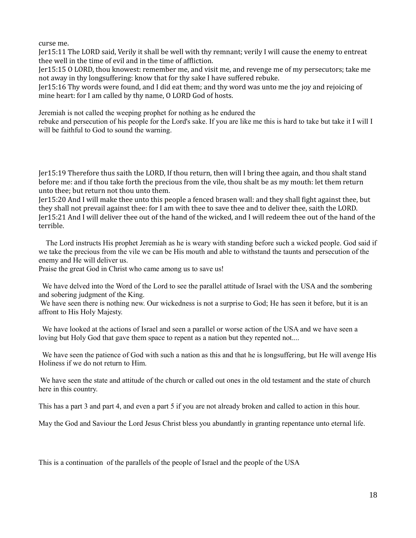curse me.

Jer15:11 The LORD said, Verily it shall be well with thy remnant; verily I will cause the enemy to entreat thee well in the time of evil and in the time of affliction.

Jer15:15 O LORD, thou knowest: remember me, and visit me, and revenge me of my persecutors; take me not away in thy longsuffering: know that for thy sake I have suffered rebuke.

Jer15:16 Thy words were found, and I did eat them; and thy word was unto me the joy and rejoicing of mine heart: for I am called by thy name, O LORD God of hosts.

Jeremiah is not called the weeping prophet for nothing as he endured the

rebuke and persecution of his people for the Lord's sake. If you are like me this is hard to take but take it I will I will be faithful to God to sound the warning.

Jer15:19 Therefore thus saith the LORD, If thou return, then will I bring thee again, and thou shalt stand before me: and if thou take forth the precious from the vile, thou shalt be as my mouth: let them return unto thee; but return not thou unto them.

Jer15:20 And I will make thee unto this people a fenced brasen wall: and they shall fight against thee, but they shall not prevail against thee: for I am with thee to save thee and to deliver thee, saith the LORD. Jer15:21 And I will deliver thee out of the hand of the wicked, and I will redeem thee out of the hand of the terrible.

 The Lord instructs His prophet Jeremiah as he is weary with standing before such a wicked people. God said if we take the precious from the vile we can be His mouth and able to withstand the taunts and persecution of the enemy and He will deliver us.

Praise the great God in Christ who came among us to save us!

 We have delved into the Word of the Lord to see the parallel attitude of Israel with the USA and the sombering and sobering judgment of the King.

 We have seen there is nothing new. Our wickedness is not a surprise to God; He has seen it before, but it is an affront to His Holy Majesty.

 We have looked at the actions of Israel and seen a parallel or worse action of the USA and we have seen a loving but Holy God that gave them space to repent as a nation but they repented not....

We have seen the patience of God with such a nation as this and that he is longsuffering, but He will avenge His Holiness if we do not return to Him.

 We have seen the state and attitude of the church or called out ones in the old testament and the state of church here in this country.

This has a part 3 and part 4, and even a part 5 if you are not already broken and called to action in this hour.

May the God and Saviour the Lord Jesus Christ bless you abundantly in granting repentance unto eternal life.

This is a continuation of the parallels of the people of Israel and the people of the USA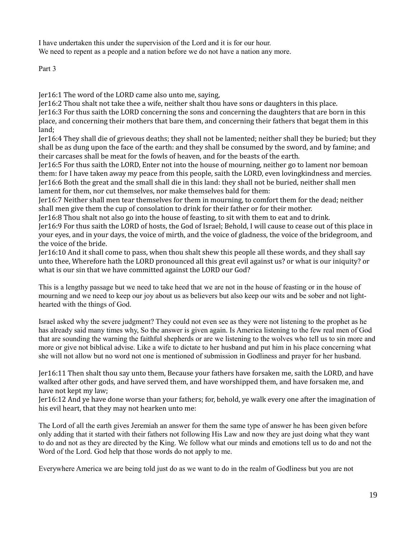I have undertaken this under the supervision of the Lord and it is for our hour. We need to repent as a people and a nation before we do not have a nation any more.

Part 3

Jer16:1 The word of the LORD came also unto me, saying,

Jer16:2 Thou shalt not take thee a wife, neither shalt thou have sons or daughters in this place. Jer16:3 For thus saith the LORD concerning the sons and concerning the daughters that are born in this place, and concerning their mothers that bare them, and concerning their fathers that begat them in this land;

Jer16:4 They shall die of grievous deaths; they shall not be lamented; neither shall they be buried; but they shall be as dung upon the face of the earth: and they shall be consumed by the sword, and by famine; and their carcases shall be meat for the fowls of heaven, and for the beasts of the earth.

Jer16:5 For thus saith the LORD, Enter not into the house of mourning, neither go to lament nor bemoan them: for I have taken away my peace from this people, saith the LORD, even lovingkindness and mercies. Jer16:6 Both the great and the small shall die in this land: they shall not be buried, neither shall men lament for them, nor cut themselves, nor make themselves bald for them:

Jer16:7 Neither shall men tear themselves for them in mourning, to comfort them for the dead; neither shall men give them the cup of consolation to drink for their father or for their mother.

Jer16:8 Thou shalt not also go into the house of feasting, to sit with them to eat and to drink.

Jer16:9 For thus saith the LORD of hosts, the God of Israel; Behold, I will cause to cease out of this place in your eyes, and in your days, the voice of mirth, and the voice of gladness, the voice of the bridegroom, and the voice of the bride.

Jer16:10 And it shall come to pass, when thou shalt shew this people all these words, and they shall say unto thee, Wherefore hath the LORD pronounced all this great evil against us? or what is our iniquity? or what is our sin that we have committed against the LORD our God?

This is a lengthy passage but we need to take heed that we are not in the house of feasting or in the house of mourning and we need to keep our joy about us as believers but also keep our wits and be sober and not lighthearted with the things of God.

Israel asked why the severe judgment? They could not even see as they were not listening to the prophet as he has already said many times why, So the answer is given again. Is America listening to the few real men of God that are sounding the warning the faithful shepherds or are we listening to the wolves who tell us to sin more and more or give not biblical advise. Like a wife to dictate to her husband and put him in his place concerning what she will not allow but no word not one is mentioned of submission in Godliness and prayer for her husband.

Jer16:11 Then shalt thou say unto them, Because your fathers have forsaken me, saith the LORD, and have walked after other gods, and have served them, and have worshipped them, and have forsaken me, and have not kept my law;

Jer16:12 And ye have done worse than your fathers; for, behold, ye walk every one after the imagination of his evil heart, that they may not hearken unto me:

The Lord of all the earth gives Jeremiah an answer for them the same type of answer he has been given before only adding that it started with their fathers not following His Law and now they are just doing what they want to do and not as they are directed by the King. We follow what our minds and emotions tell us to do and not the Word of the Lord. God help that those words do not apply to me.

Everywhere America we are being told just do as we want to do in the realm of Godliness but you are not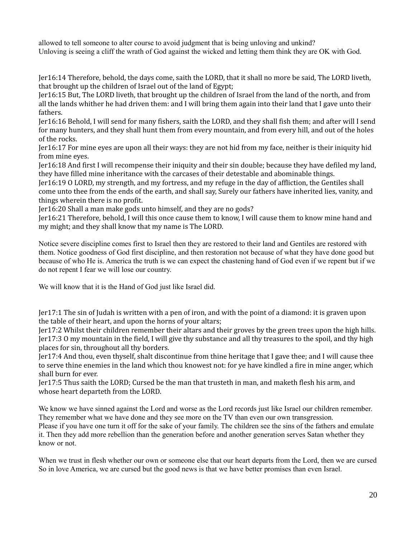allowed to tell someone to alter course to avoid judgment that is being unloving and unkind? Unloving is seeing a cliff the wrath of God against the wicked and letting them think they are OK with God.

Jer16:14 Therefore, behold, the days come, saith the LORD, that it shall no more be said, The LORD liveth, that brought up the children of Israel out of the land of Egypt;

Jer16:15 But, The LORD liveth, that brought up the children of Israel from the land of the north, and from all the lands whither he had driven them: and I will bring them again into their land that I gave unto their fathers.

Jer16:16 Behold, I will send for many fishers, saith the LORD, and they shall fish them; and after will I send for many hunters, and they shall hunt them from every mountain, and from every hill, and out of the holes of the rocks.

Jer16:17 For mine eyes are upon all their ways: they are not hid from my face, neither is their iniquity hid from mine eyes.

Jer16:18 And first I will recompense their iniquity and their sin double; because they have defiled my land, they have filled mine inheritance with the carcases of their detestable and abominable things.

Jer16:19 O LORD, my strength, and my fortress, and my refuge in the day of affliction, the Gentiles shall come unto thee from the ends of the earth, and shall say, Surely our fathers have inherited lies, vanity, and things wherein there is no profit.

Jer16:20 Shall a man make gods unto himself, and they are no gods?

Jer16:21 Therefore, behold, I will this once cause them to know, I will cause them to know mine hand and my might; and they shall know that my name is The LORD.

Notice severe discipline comes first to Israel then they are restored to their land and Gentiles are restored with them. Notice goodness of God first discipline, and then restoration not because of what they have done good but because of who He is. America the truth is we can expect the chastening hand of God even if we repent but if we do not repent I fear we will lose our country.

We will know that it is the Hand of God just like Israel did.

Jer17:1 The sin of Judah is written with a pen of iron, and with the point of a diamond: it is graven upon the table of their heart, and upon the horns of your altars;

Jer17:2 Whilst their children remember their altars and their groves by the green trees upon the high hills. Jer17:3 O my mountain in the field, I will give thy substance and all thy treasures to the spoil, and thy high places for sin, throughout all thy borders.

Jer17:4 And thou, even thyself, shalt discontinue from thine heritage that I gave thee; and I will cause thee to serve thine enemies in the land which thou knowest not: for ye have kindled a fire in mine anger, which shall burn for ever.

Jer17:5 Thus saith the LORD; Cursed be the man that trusteth in man, and maketh flesh his arm, and whose heart departeth from the LORD.

We know we have sinned against the Lord and worse as the Lord records just like Israel our children remember. They remember what we have done and they see more on the TV than even our own transgression. Please if you have one turn it off for the sake of your family. The children see the sins of the fathers and emulate

it. Then they add more rebellion than the generation before and another generation serves Satan whether they know or not.

When we trust in flesh whether our own or someone else that our heart departs from the Lord, then we are cursed So in love America, we are cursed but the good news is that we have better promises than even Israel.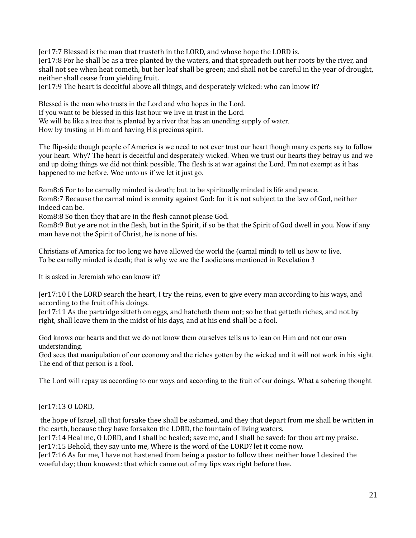Jer17:7 Blessed is the man that trusteth in the LORD, and whose hope the LORD is.

Jer17:8 For he shall be as a tree planted by the waters, and that spreadeth out her roots by the river, and shall not see when heat cometh, but her leaf shall be green; and shall not be careful in the year of drought, neither shall cease from yielding fruit.

Jer17:9 The heart is deceitful above all things, and desperately wicked: who can know it?

Blessed is the man who trusts in the Lord and who hopes in the Lord. If you want to be blessed in this last hour we live in trust in the Lord. We will be like a tree that is planted by a river that has an unending supply of water. How by trusting in Him and having His precious spirit.

The flip-side though people of America is we need to not ever trust our heart though many experts say to follow your heart. Why? The heart is deceitful and desperately wicked. When we trust our hearts they betray us and we end up doing things we did not think possible. The flesh is at war against the Lord. I'm not exempt as it has happened to me before. Woe unto us if we let it just go.

Rom8:6 For to be carnally minded is death; but to be spiritually minded is life and peace. Rom8:7 Because the carnal mind is enmity against God: for it is not subject to the law of God, neither indeed can be.

Rom8:8 So then they that are in the flesh cannot please God.

Rom8:9 But ye are not in the flesh, but in the Spirit, if so be that the Spirit of God dwell in you. Now if any man have not the Spirit of Christ, he is none of his.

Christians of America for too long we have allowed the world the (carnal mind) to tell us how to live. To be carnally minded is death; that is why we are the Laodicians mentioned in Revelation 3

It is asked in Jeremiah who can know it?

Jer17:10 I the LORD search the heart, I try the reins, even to give every man according to his ways, and according to the fruit of his doings.

Jer17:11 As the partridge sitteth on eggs, and hatcheth them not; so he that getteth riches, and not by right, shall leave them in the midst of his days, and at his end shall be a fool.

God knows our hearts and that we do not know them ourselves tells us to lean on Him and not our own understanding.

God sees that manipulation of our economy and the riches gotten by the wicked and it will not work in his sight. The end of that person is a fool.

The Lord will repay us according to our ways and according to the fruit of our doings. What a sobering thought.

Jer17:13 O LORD,

 the hope of Israel, all that forsake thee shall be ashamed, and they that depart from me shall be written in the earth, because they have forsaken the LORD, the fountain of living waters.

Jer17:14 Heal me, O LORD, and I shall be healed; save me, and I shall be saved: for thou art my praise. Jer17:15 Behold, they say unto me, Where is the word of the LORD? let it come now.

Jer17:16 As for me, I have not hastened from being a pastor to follow thee: neither have I desired the woeful day; thou knowest: that which came out of my lips was right before thee.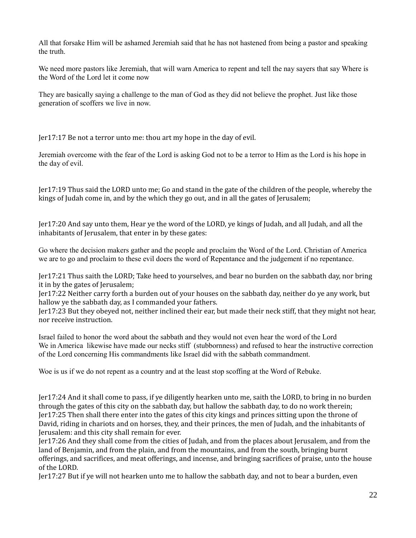All that forsake Him will be ashamed Jeremiah said that he has not hastened from being a pastor and speaking the truth.

We need more pastors like Jeremiah, that will warn America to repent and tell the nay sayers that say Where is the Word of the Lord let it come now

They are basically saying a challenge to the man of God as they did not believe the prophet. Just like those generation of scoffers we live in now.

Jer17:17 Be not a terror unto me: thou art my hope in the day of evil.

Jeremiah overcome with the fear of the Lord is asking God not to be a terror to Him as the Lord is his hope in the day of evil.

Jer17:19 Thus said the LORD unto me; Go and stand in the gate of the children of the people, whereby the kings of Judah come in, and by the which they go out, and in all the gates of Jerusalem;

Jer17:20 And say unto them, Hear ye the word of the LORD, ye kings of Judah, and all Judah, and all the inhabitants of Jerusalem, that enter in by these gates:

Go where the decision makers gather and the people and proclaim the Word of the Lord. Christian of America we are to go and proclaim to these evil doers the word of Repentance and the judgement if no repentance.

Jer17:21 Thus saith the LORD; Take heed to yourselves, and bear no burden on the sabbath day, nor bring it in by the gates of Jerusalem;

Jer17:22 Neither carry forth a burden out of your houses on the sabbath day, neither do ye any work, but hallow ye the sabbath day, as I commanded your fathers.

Jer17:23 But they obeyed not, neither inclined their ear, but made their neck stiff, that they might not hear, nor receive instruction.

Israel failed to honor the word about the sabbath and they would not even hear the word of the Lord We in America likewise have made our necks stiff (stubbornness) and refused to hear the instructive correction of the Lord concerning His commandments like Israel did with the sabbath commandment.

Woe is us if we do not repent as a country and at the least stop scoffing at the Word of Rebuke.

Jer17:24 And it shall come to pass, if ye diligently hearken unto me, saith the LORD, to bring in no burden through the gates of this city on the sabbath day, but hallow the sabbath day, to do no work therein; Jer17:25 Then shall there enter into the gates of this city kings and princes sitting upon the throne of David, riding in chariots and on horses, they, and their princes, the men of Judah, and the inhabitants of Jerusalem: and this city shall remain for ever.

Jer17:26 And they shall come from the cities of Judah, and from the places about Jerusalem, and from the land of Benjamin, and from the plain, and from the mountains, and from the south, bringing burnt offerings, and sacrifices, and meat offerings, and incense, and bringing sacrifices of praise, unto the house of the LORD.

Jer17:27 But if ye will not hearken unto me to hallow the sabbath day, and not to bear a burden, even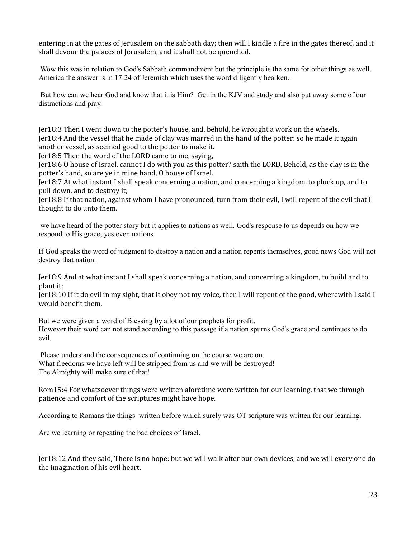entering in at the gates of Jerusalem on the sabbath day; then will I kindle a fire in the gates thereof, and it shall devour the palaces of Jerusalem, and it shall not be quenched.

 Wow this was in relation to God's Sabbath commandment but the principle is the same for other things as well. America the answer is in 17:24 of Jeremiah which uses the word diligently hearken..

 But how can we hear God and know that it is Him? Get in the KJV and study and also put away some of our distractions and pray.

Jer18:3 Then I went down to the potter's house, and, behold, he wrought a work on the wheels. Jer18:4 And the vessel that he made of clay was marred in the hand of the potter: so he made it again another vessel, as seemed good to the potter to make it.

Jer18:5 Then the word of the LORD came to me, saying,

Jer18:6 O house of Israel, cannot I do with you as this potter? saith the LORD. Behold, as the clay is in the potter's hand, so are ye in mine hand, O house of Israel.

Jer18:7 At what instant I shall speak concerning a nation, and concerning a kingdom, to pluck up, and to pull down, and to destroy it;

Jer18:8 If that nation, against whom I have pronounced, turn from their evil, I will repent of the evil that I thought to do unto them.

 we have heard of the potter story but it applies to nations as well. God's response to us depends on how we respond to His grace; yes even nations

If God speaks the word of judgment to destroy a nation and a nation repents themselves, good news God will not destroy that nation.

Jer18:9 And at what instant I shall speak concerning a nation, and concerning a kingdom, to build and to plant it;

Jer18:10 If it do evil in my sight, that it obey not my voice, then I will repent of the good, wherewith I said I would benefit them.

But we were given a word of Blessing by a lot of our prophets for profit. However their word can not stand according to this passage if a nation spurns God's grace and continues to do evil.

 Please understand the consequences of continuing on the course we are on. What freedoms we have left will be stripped from us and we will be destroyed! The Almighty will make sure of that!

Rom15:4 For whatsoever things were written aforetime were written for our learning, that we through patience and comfort of the scriptures might have hope.

According to Romans the things written before which surely was OT scripture was written for our learning.

Are we learning or repeating the bad choices of Israel.

Jer18:12 And they said, There is no hope: but we will walk after our own devices, and we will every one do the imagination of his evil heart.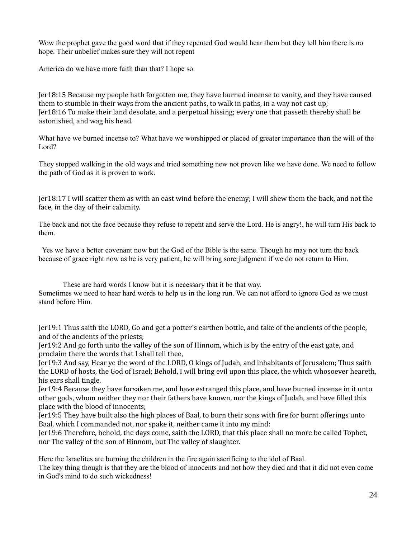Wow the prophet gave the good word that if they repented God would hear them but they tell him there is no hope. Their unbelief makes sure they will not repent

America do we have more faith than that? I hope so.

Jer18:15 Because my people hath forgotten me, they have burned incense to vanity, and they have caused them to stumble in their ways from the ancient paths, to walk in paths, in a way not cast up; Jer18:16 To make their land desolate, and a perpetual hissing; every one that passeth thereby shall be astonished, and wag his head.

What have we burned incense to? What have we worshipped or placed of greater importance than the will of the Lord?

They stopped walking in the old ways and tried something new not proven like we have done. We need to follow the path of God as it is proven to work.

Jer18:17 I will scatter them as with an east wind before the enemy; I will shew them the back, and not the face, in the day of their calamity.

The back and not the face because they refuse to repent and serve the Lord. He is angry!, he will turn His back to them.

 Yes we have a better covenant now but the God of the Bible is the same. Though he may not turn the back because of grace right now as he is very patient, he will bring sore judgment if we do not return to Him.

These are hard words I know but it is necessary that it be that way. Sometimes we need to hear hard words to help us in the long run. We can not afford to ignore God as we must stand before Him.

Jer19:1 Thus saith the LORD, Go and get a potter's earthen bottle, and take of the ancients of the people, and of the ancients of the priests;

Jer19:2 And go forth unto the valley of the son of Hinnom, which is by the entry of the east gate, and proclaim there the words that I shall tell thee,

Jer19:3 And say, Hear ye the word of the LORD, O kings of Judah, and inhabitants of Jerusalem; Thus saith the LORD of hosts, the God of Israel; Behold, I will bring evil upon this place, the which whosoever heareth, his ears shall tingle.

Jer19:4 Because they have forsaken me, and have estranged this place, and have burned incense in it unto other gods, whom neither they nor their fathers have known, nor the kings of Judah, and have filled this place with the blood of innocents;

Jer19:5 They have built also the high places of Baal, to burn their sons with fire for burnt offerings unto Baal, which I commanded not, nor spake it, neither came it into my mind:

Jer19:6 Therefore, behold, the days come, saith the LORD, that this place shall no more be called Tophet, nor The valley of the son of Hinnom, but The valley of slaughter.

Here the Israelites are burning the children in the fire again sacrificing to the idol of Baal.

The key thing though is that they are the blood of innocents and not how they died and that it did not even come in God's mind to do such wickedness!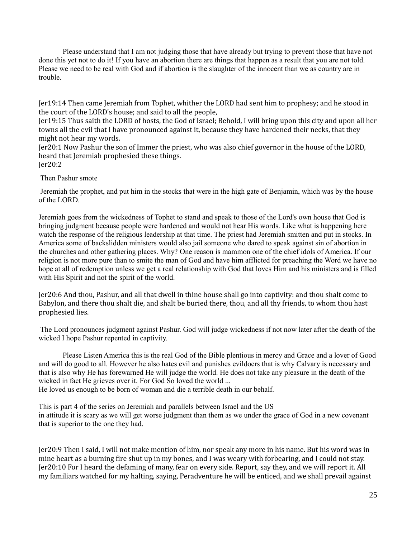Please understand that I am not judging those that have already but trying to prevent those that have not done this yet not to do it! If you have an abortion there are things that happen as a result that you are not told. Please we need to be real with God and if abortion is the slaughter of the innocent than we as country are in trouble.

Jer19:14 Then came Jeremiah from Tophet, whither the LORD had sent him to prophesy; and he stood in the court of the LORD's house; and said to all the people,

Jer19:15 Thus saith the LORD of hosts, the God of Israel; Behold, I will bring upon this city and upon all her towns all the evil that I have pronounced against it, because they have hardened their necks, that they might not hear my words.

Jer20:1 Now Pashur the son of Immer the priest, who was also chief governor in the house of the LORD, heard that Jeremiah prophesied these things. Jer20:2

Then Pashur smote

 Jeremiah the prophet, and put him in the stocks that were in the high gate of Benjamin, which was by the house of the LORD.

Jeremiah goes from the wickedness of Tophet to stand and speak to those of the Lord's own house that God is bringing judgment because people were hardened and would not hear His words. Like what is happening here watch the response of the religious leadership at that time. The priest had Jeremiah smitten and put in stocks. In America some of backslidden ministers would also jail someone who dared to speak against sin of abortion in the churches and other gathering places. Why? One reason is mammon one of the chief idols of America. If our religion is not more pure than to smite the man of God and have him afflicted for preaching the Word we have no hope at all of redemption unless we get a real relationship with God that loves Him and his ministers and is filled with His Spirit and not the spirit of the world.

Jer20:6 And thou, Pashur, and all that dwell in thine house shall go into captivity: and thou shalt come to Babylon, and there thou shalt die, and shalt be buried there, thou, and all thy friends, to whom thou hast prophesied lies.

 The Lord pronounces judgment against Pashur. God will judge wickedness if not now later after the death of the wicked I hope Pashur repented in captivity.

Please Listen America this is the real God of the Bible plentious in mercy and Grace and a lover of Good and will do good to all. However he also hates evil and punishes evildoers that is why Calvary is necessary and that is also why He has forewarned He will judge the world. He does not take any pleasure in the death of the wicked in fact He grieves over it. For God So loved the world ... He loved us enough to be born of woman and die a terrible death in our behalf.

This is part 4 of the series on Jeremiah and parallels between Israel and the US in attitude it is scary as we will get worse judgment than them as we under the grace of God in a new covenant that is superior to the one they had.

Jer20:9 Then I said, I will not make mention of him, nor speak any more in his name. But his word was in mine heart as a burning fire shut up in my bones, and I was weary with forbearing, and I could not stay. Jer20:10 For I heard the defaming of many, fear on every side. Report, say they, and we will report it. All my familiars watched for my halting, saying, Peradventure he will be enticed, and we shall prevail against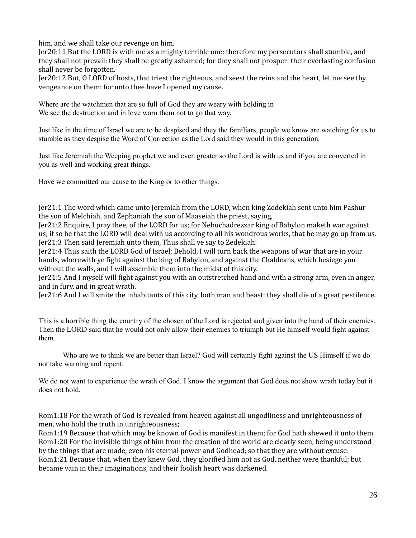him, and we shall take our revenge on him.

Jer20:11 But the LORD is with me as a mighty terrible one: therefore my persecutors shall stumble, and they shall not prevail: they shall be greatly ashamed; for they shall not prosper: their everlasting confusion shall never be forgotten.

Jer20:12 But, O LORD of hosts, that triest the righteous, and seest the reins and the heart, let me see thy vengeance on them: for unto thee have I opened my cause.

Where are the watchmen that are so full of God they are weary with holding in We see the destruction and in love warn them not to go that way.

Just like in the time of Israel we are to be despised and they the familiars, people we know are watching for us to stumble as they despise the Word of Correction as the Lord said they would in this generation.

Just like Jeremiah the Weeping prophet we and even greater so the Lord is with us and if you are converted in you as well and working great things.

Have we committed our cause to the King or to other things.

Jer21:1 The word which came unto Jeremiah from the LORD, when king Zedekiah sent unto him Pashur the son of Melchiah, and Zephaniah the son of Maaseiah the priest, saying,

Jer21:2 Enquire, I pray thee, of the LORD for us; for Nebuchadrezzar king of Babylon maketh war against us; if so be that the LORD will deal with us according to all his wondrous works, that he may go up from us. Jer21:3 Then said Jeremiah unto them, Thus shall ye say to Zedekiah:

Jer21:4 Thus saith the LORD God of Israel; Behold, I will turn back the weapons of war that are in your hands, wherewith ye fight against the king of Babylon, and against the Chaldeans, which besiege you without the walls, and I will assemble them into the midst of this city.

Jer21:5 And I myself will fight against you with an outstretched hand and with a strong arm, even in anger, and in fury, and in great wrath.

Jer21:6 And I will smite the inhabitants of this city, both man and beast: they shall die of a great pestilence.

This is a horrible thing the country of the chosen of the Lord is rejected and given into the hand of their enemies. Then the LORD said that he would not only allow their enemies to triumph but He himself would fight against them.

Who are we to think we are better than Israel? God will certainly fight against the US Himself if we do not take warning and repent.

We do not want to experience the wrath of God. I know the argument that God does not show wrath today but it does not hold.

Rom1:18 For the wrath of God is revealed from heaven against all ungodliness and unrighteousness of men, who hold the truth in unrighteousness;

Rom1:19 Because that which may be known of God is manifest in them; for God hath shewed it unto them. Rom1:20 For the invisible things of him from the creation of the world are clearly seen, being understood by the things that are made, even his eternal power and Godhead; so that they are without excuse: Rom1:21 Because that, when they knew God, they glorified him not as God, neither were thankful; but became vain in their imaginations, and their foolish heart was darkened.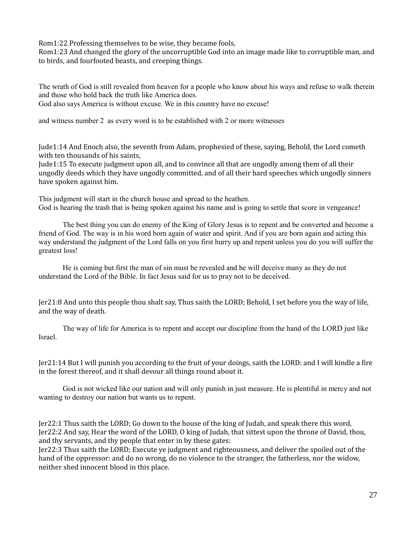Rom1:22 Professing themselves to be wise, they became fools,

Rom1:23 And changed the glory of the uncorruptible God into an image made like to corruptible man, and to birds, and fourfooted beasts, and creeping things.

The wrath of God is still revealed from heaven for a people who know about his ways and refuse to walk therein and those who hold back the truth like America does.

God also says America is without excuse. We in this country have no excuse!

and witness number 2 as every word is to be established with 2 or more witnesses

Jude1:14 And Enoch also, the seventh from Adam, prophesied of these, saying, Behold, the Lord cometh with ten thousands of his saints,

Jude1:15 To execute judgment upon all, and to convince all that are ungodly among them of all their ungodly deeds which they have ungodly committed, and of all their hard speeches which ungodly sinners have spoken against him.

This judgment will start in the church house and spread to the heathen. God is hearing the trash that is being spoken against his name and is going to settle that score in vengeance!

The best thing you can do enemy of the King of Glory Jesus is to repent and be converted and become a friend of God. The way is in his word born again of water and spirit. And if you are born again and acting this way understand the judgment of the Lord falls on you first hurry up and repent unless you do you will suffer the greatest loss!

He is coming but first the man of sin must be revealed and he will deceive many as they do not understand the Lord of the Bible. In fact Jesus said for us to pray not to be deceived.

Jer21:8 And unto this people thou shalt say, Thus saith the LORD; Behold, I set before you the way of life, and the way of death.

The way of life for America is to repent and accept our discipline from the hand of the LORD just like Israel.

Jer21:14 But I will punish you according to the fruit of your doings, saith the LORD: and I will kindle a fire in the forest thereof, and it shall devour all things round about it.

God is not wicked like our nation and will only punish in just measure. He is plentiful in mercy and not wanting to destroy our nation but wants us to repent.

Jer22:1 Thus saith the LORD; Go down to the house of the king of Judah, and speak there this word, Jer22:2 And say, Hear the word of the LORD, O king of Judah, that sittest upon the throne of David, thou, and thy servants, and thy people that enter in by these gates:

Jer22:3 Thus saith the LORD; Execute ye judgment and righteousness, and deliver the spoiled out of the hand of the oppressor: and do no wrong, do no violence to the stranger, the fatherless, nor the widow, neither shed innocent blood in this place.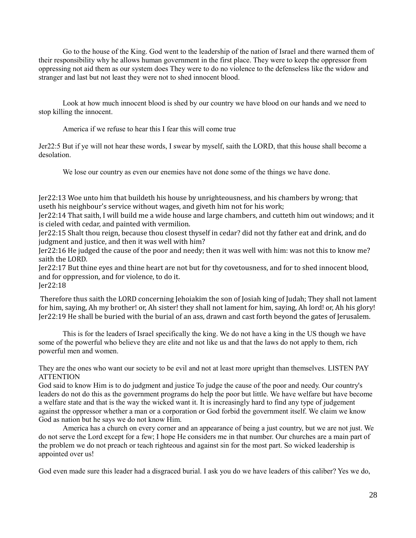Go to the house of the King. God went to the leadership of the nation of Israel and there warned them of their responsibility why he allows human government in the first place. They were to keep the oppressor from oppressing not aid them as our system does They were to do no violence to the defenseless like the widow and stranger and last but not least they were not to shed innocent blood.

Look at how much innocent blood is shed by our country we have blood on our hands and we need to stop killing the innocent.

America if we refuse to hear this I fear this will come true

Jer22:5 But if ye will not hear these words, I swear by myself, saith the LORD, that this house shall become a desolation.

We lose our country as even our enemies have not done some of the things we have done.

Jer22:13 Woe unto him that buildeth his house by unrighteousness, and his chambers by wrong; that useth his neighbour's service without wages, and giveth him not for his work;

Jer22:14 That saith, I will build me a wide house and large chambers, and cutteth him out windows; and it is cieled with cedar, and painted with vermilion.

Jer22:15 Shalt thou reign, because thou closest thyself in cedar? did not thy father eat and drink, and do judgment and justice, and then it was well with him?

Jer22:16 He judged the cause of the poor and needy; then it was well with him: was not this to know me? saith the LORD.

Jer22:17 But thine eyes and thine heart are not but for thy covetousness, and for to shed innocent blood, and for oppression, and for violence, to do it.

Jer22:18

 Therefore thus saith the LORD concerning Jehoiakim the son of Josiah king of Judah; They shall not lament for him, saying, Ah my brother! or, Ah sister! they shall not lament for him, saying, Ah lord! or, Ah his glory! Jer22:19 He shall be buried with the burial of an ass, drawn and cast forth beyond the gates of Jerusalem.

This is for the leaders of Israel specifically the king. We do not have a king in the US though we have some of the powerful who believe they are elite and not like us and that the laws do not apply to them, rich powerful men and women.

They are the ones who want our society to be evil and not at least more upright than themselves. LISTEN PAY ATTENTION

God said to know Him is to do judgment and justice To judge the cause of the poor and needy. Our country's leaders do not do this as the government programs do help the poor but little. We have welfare but have become a welfare state and that is the way the wicked want it. It is increasingly hard to find any type of judgement against the oppressor whether a man or a corporation or God forbid the government itself. We claim we know God as nation but he says we do not know Him.

America has a church on every corner and an appearance of being a just country, but we are not just. We do not serve the Lord except for a few; I hope He considers me in that number. Our churches are a main part of the problem we do not preach or teach righteous and against sin for the most part. So wicked leadership is appointed over us!

God even made sure this leader had a disgraced burial. I ask you do we have leaders of this caliber? Yes we do,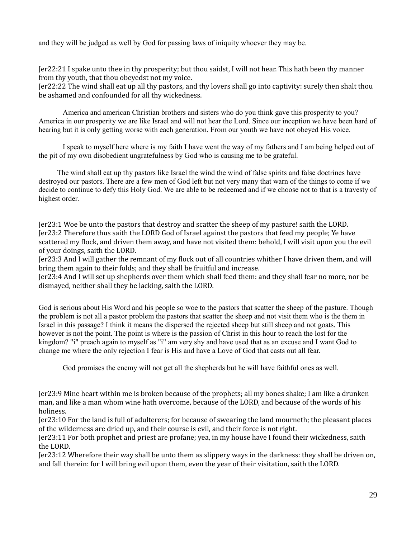and they will be judged as well by God for passing laws of iniquity whoever they may be.

Jer22:21 I spake unto thee in thy prosperity; but thou saidst, I will not hear. This hath been thy manner from thy youth, that thou obeyedst not my voice.

Jer22:22 The wind shall eat up all thy pastors, and thy lovers shall go into captivity: surely then shalt thou be ashamed and confounded for all thy wickedness.

America and american Christian brothers and sisters who do you think gave this prosperity to you? America in our prosperity we are like Israel and will not hear the Lord. Since our inception we have been hard of hearing but it is only getting worse with each generation. From our youth we have not obeyed His voice.

I speak to myself here where is my faith I have went the way of my fathers and I am being helped out of the pit of my own disobedient ungratefulness by God who is causing me to be grateful.

 The wind shall eat up thy pastors like Israel the wind the wind of false spirits and false doctrines have destroyed our pastors. There are a few men of God left but not very many that warn of the things to come if we decide to continue to defy this Holy God. We are able to be redeemed and if we choose not to that is a travesty of highest order.

Jer23:1 Woe be unto the pastors that destroy and scatter the sheep of my pasture! saith the LORD. Jer23:2 Therefore thus saith the LORD God of Israel against the pastors that feed my people; Ye have scattered my flock, and driven them away, and have not visited them: behold, I will visit upon you the evil of your doings, saith the LORD.

Jer23:3 And I will gather the remnant of my flock out of all countries whither I have driven them, and will bring them again to their folds; and they shall be fruitful and increase.

Jer23:4 And I will set up shepherds over them which shall feed them: and they shall fear no more, nor be dismayed, neither shall they be lacking, saith the LORD.

God is serious about His Word and his people so woe to the pastors that scatter the sheep of the pasture. Though the problem is not all a pastor problem the pastors that scatter the sheep and not visit them who is the them in Israel in this passage? I think it means the dispersed the rejected sheep but still sheep and not goats. This however is not the point. The point is where is the passion of Christ in this hour to reach the lost for the kingdom? "i" preach again to myself as "i" am very shy and have used that as an excuse and I want God to change me where the only rejection I fear is His and have a Love of God that casts out all fear.

God promises the enemy will not get all the shepherds but he will have faithful ones as well.

Jer23:9 Mine heart within me is broken because of the prophets; all my bones shake; I am like a drunken man, and like a man whom wine hath overcome, because of the LORD, and because of the words of his holiness.

Jer23:10 For the land is full of adulterers; for because of swearing the land mourneth; the pleasant places of the wilderness are dried up, and their course is evil, and their force is not right.

Jer23:11 For both prophet and priest are profane; yea, in my house have I found their wickedness, saith the LORD.

Jer23:12 Wherefore their way shall be unto them as slippery ways in the darkness: they shall be driven on, and fall therein: for I will bring evil upon them, even the year of their visitation, saith the LORD.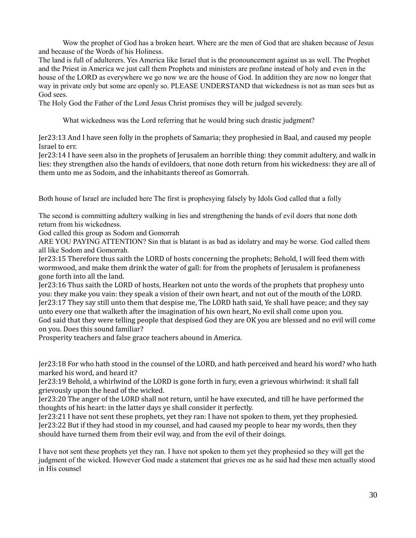Wow the prophet of God has a broken heart. Where are the men of God that are shaken because of Jesus and because of the Words of his Holiness.

The land is full of adulterers. Yes America like Israel that is the pronouncement against us as well. The Prophet and the Priest in America we just call them Prophets and ministers are profane instead of holy and even in the house of the LORD as everywhere we go now we are the house of God. In addition they are now no longer that way in private only but some are openly so. PLEASE UNDERSTAND that wickedness is not as man sees but as God sees.

The Holy God the Father of the Lord Jesus Christ promises they will be judged severely.

What wickedness was the Lord referring that he would bring such drastic judgment?

Jer23:13 And I have seen folly in the prophets of Samaria; they prophesied in Baal, and caused my people Israel to err.

Jer23:14 I have seen also in the prophets of Jerusalem an horrible thing: they commit adultery, and walk in lies: they strengthen also the hands of evildoers, that none doth return from his wickedness: they are all of them unto me as Sodom, and the inhabitants thereof as Gomorrah.

Both house of Israel are included here The first is prophesying falsely by Idols God called that a folly

The second is committing adultery walking in lies and strengthening the hands of evil doers that none doth return from his wickedness.

God called this group as Sodom and Gomorrah

ARE YOU PAYING ATTENTION? Sin that is blatant is as bad as idolatry and may be worse. God called them all like Sodom and Gomorrah.

Jer23:15 Therefore thus saith the LORD of hosts concerning the prophets; Behold, I will feed them with wormwood, and make them drink the water of gall: for from the prophets of Jerusalem is profaneness gone forth into all the land.

Jer23:16 Thus saith the LORD of hosts, Hearken not unto the words of the prophets that prophesy unto you: they make you vain: they speak a vision of their own heart, and not out of the mouth of the LORD. Jer23:17 They say still unto them that despise me, The LORD hath said, Ye shall have peace; and they say unto every one that walketh after the imagination of his own heart, No evil shall come upon you. God said that they were telling people that despised God they are OK you are blessed and no evil will come on you. Does this sound familiar?

Prosperity teachers and false grace teachers abound in America.

Jer23:18 For who hath stood in the counsel of the LORD, and hath perceived and heard his word? who hath marked his word, and heard it?

Jer23:19 Behold, a whirlwind of the LORD is gone forth in fury, even a grievous whirlwind: it shall fall grievously upon the head of the wicked.

Jer23:20 The anger of the LORD shall not return, until he have executed, and till he have performed the thoughts of his heart: in the latter days ye shall consider it perfectly.

Jer23:21 I have not sent these prophets, yet they ran: I have not spoken to them, yet they prophesied. Jer23:22 But if they had stood in my counsel, and had caused my people to hear my words, then they should have turned them from their evil way, and from the evil of their doings.

I have not sent these prophets yet they ran. I have not spoken to them yet they prophesied so they will get the judgment of the wicked. However God made a statement that grieves me as he said had these men actually stood in His counsel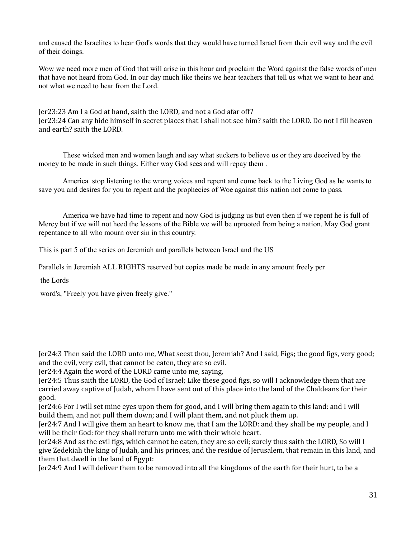and caused the Israelites to hear God's words that they would have turned Israel from their evil way and the evil of their doings.

Wow we need more men of God that will arise in this hour and proclaim the Word against the false words of men that have not heard from God. In our day much like theirs we hear teachers that tell us what we want to hear and not what we need to hear from the Lord.

Jer23:23 Am I a God at hand, saith the LORD, and not a God afar off? Jer23:24 Can any hide himself in secret places that I shall not see him? saith the LORD. Do not I fill heaven and earth? saith the LORD.

These wicked men and women laugh and say what suckers to believe us or they are deceived by the money to be made in such things. Either way God sees and will repay them .

America stop listening to the wrong voices and repent and come back to the Living God as he wants to save you and desires for you to repent and the prophecies of Woe against this nation not come to pass.

America we have had time to repent and now God is judging us but even then if we repent he is full of Mercy but if we will not heed the lessons of the Bible we will be uprooted from being a nation. May God grant repentance to all who mourn over sin in this country.

This is part 5 of the series on Jeremiah and parallels between Israel and the US

Parallels in Jeremiah ALL RIGHTS reserved but copies made be made in any amount freely per

the Lords

word's, "Freely you have given freely give."

Jer24:3 Then said the LORD unto me, What seest thou, Jeremiah? And I said, Figs; the good figs, very good; and the evil, very evil, that cannot be eaten, they are so evil.

Jer24:4 Again the word of the LORD came unto me, saying,

Jer24:5 Thus saith the LORD, the God of Israel; Like these good figs, so will I acknowledge them that are carried away captive of Judah, whom I have sent out of this place into the land of the Chaldeans for their good.

Jer24:6 For I will set mine eyes upon them for good, and I will bring them again to this land: and I will build them, and not pull them down; and I will plant them, and not pluck them up.

Jer24:7 And I will give them an heart to know me, that I am the LORD: and they shall be my people, and I will be their God: for they shall return unto me with their whole heart.

Jer24:8 And as the evil figs, which cannot be eaten, they are so evil; surely thus saith the LORD, So will I give Zedekiah the king of Judah, and his princes, and the residue of Jerusalem, that remain in this land, and them that dwell in the land of Egypt:

Jer24:9 And I will deliver them to be removed into all the kingdoms of the earth for their hurt, to be a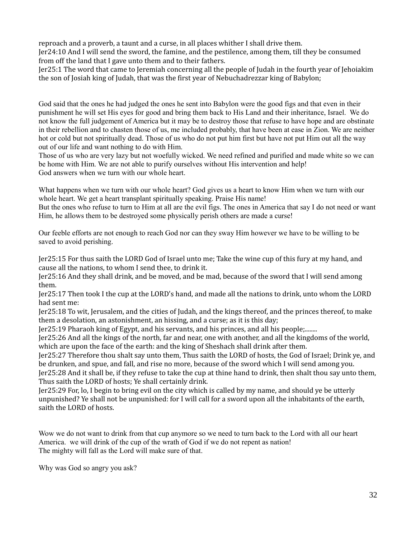reproach and a proverb, a taunt and a curse, in all places whither I shall drive them.

Jer24:10 And I will send the sword, the famine, and the pestilence, among them, till they be consumed from off the land that I gave unto them and to their fathers.

Jer25:1 The word that came to Jeremiah concerning all the people of Judah in the fourth year of Jehoiakim the son of Josiah king of Judah, that was the first year of Nebuchadrezzar king of Babylon;

God said that the ones he had judged the ones he sent into Babylon were the good figs and that even in their punishment he will set His eyes for good and bring them back to His Land and their inheritance, Israel. We do not know the full judgement of America but it may be to destroy those that refuse to have hope and are obstinate in their rebellion and to chasten those of us, me included probably, that have been at ease in Zion. We are neither hot or cold but not spiritually dead. Those of us who do not put him first but have not put Him out all the way out of our life and want nothing to do with Him.

Those of us who are very lazy but not woefully wicked. We need refined and purified and made white so we can be home with Him. We are not able to purify ourselves without His intervention and help! God answers when we turn with our whole heart.

What happens when we turn with our whole heart? God gives us a heart to know Him when we turn with our whole heart. We get a heart transplant spiritually speaking. Praise His name!

But the ones who refuse to turn to Him at all are the evil figs. The ones in America that say I do not need or want Him, he allows them to be destroyed some physically perish others are made a curse!

Our feeble efforts are not enough to reach God nor can they sway Him however we have to be willing to be saved to avoid perishing.

Jer25:15 For thus saith the LORD God of Israel unto me; Take the wine cup of this fury at my hand, and cause all the nations, to whom I send thee, to drink it.

Jer25:16 And they shall drink, and be moved, and be mad, because of the sword that I will send among them.

Jer25:17 Then took I the cup at the LORD's hand, and made all the nations to drink, unto whom the LORD had sent me:

Jer25:18 To wit, Jerusalem, and the cities of Judah, and the kings thereof, and the princes thereof, to make them a desolation, an astonishment, an hissing, and a curse; as it is this day;

Jer25:19 Pharaoh king of Egypt, and his servants, and his princes, and all his people;........

Jer25:26 And all the kings of the north, far and near, one with another, and all the kingdoms of the world, which are upon the face of the earth: and the king of Sheshach shall drink after them.

Jer25:27 Therefore thou shalt say unto them, Thus saith the LORD of hosts, the God of Israel; Drink ye, and be drunken, and spue, and fall, and rise no more, because of the sword which I will send among you.

Jer25:28 And it shall be, if they refuse to take the cup at thine hand to drink, then shalt thou say unto them, Thus saith the LORD of hosts; Ye shall certainly drink.

Jer25:29 For, lo, I begin to bring evil on the city which is called by my name, and should ye be utterly unpunished? Ye shall not be unpunished: for I will call for a sword upon all the inhabitants of the earth, saith the LORD of hosts.

Wow we do not want to drink from that cup anymore so we need to turn back to the Lord with all our heart America. we will drink of the cup of the wrath of God if we do not repent as nation! The mighty will fall as the Lord will make sure of that.

Why was God so angry you ask?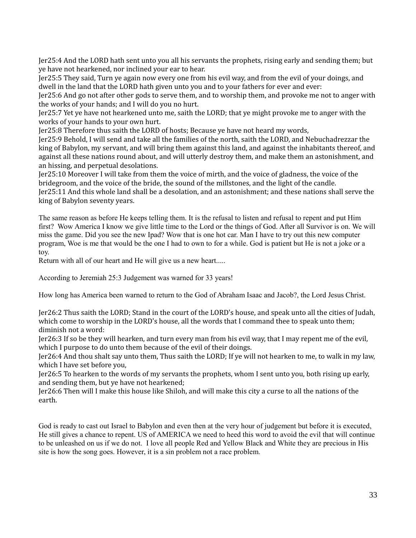Jer25:4 And the LORD hath sent unto you all his servants the prophets, rising early and sending them; but ye have not hearkened, nor inclined your ear to hear.

Jer25:5 They said, Turn ye again now every one from his evil way, and from the evil of your doings, and dwell in the land that the LORD hath given unto you and to your fathers for ever and ever:

Jer25:6 And go not after other gods to serve them, and to worship them, and provoke me not to anger with the works of your hands; and I will do you no hurt.

Jer25:7 Yet ye have not hearkened unto me, saith the LORD; that ye might provoke me to anger with the works of your hands to your own hurt.

Jer25:8 Therefore thus saith the LORD of hosts; Because ye have not heard my words,

Jer25:9 Behold, I will send and take all the families of the north, saith the LORD, and Nebuchadrezzar the king of Babylon, my servant, and will bring them against this land, and against the inhabitants thereof, and against all these nations round about, and will utterly destroy them, and make them an astonishment, and an hissing, and perpetual desolations.

Jer25:10 Moreover I will take from them the voice of mirth, and the voice of gladness, the voice of the bridegroom, and the voice of the bride, the sound of the millstones, and the light of the candle. Jer25:11 And this whole land shall be a desolation, and an astonishment; and these nations shall serve the king of Babylon seventy years.

The same reason as before He keeps telling them. It is the refusal to listen and refusal to repent and put Him first? Wow America I know we give little time to the Lord or the things of God. After all Survivor is on. We will miss the game. Did you see the new Ipad? Wow that is one hot car. Man I have to try out this new computer program, Woe is me that would be the one I had to own to for a while. God is patient but He is not a joke or a toy.

Return with all of our heart and He will give us a new heart.....

According to Jeremiah 25:3 Judgement was warned for 33 years!

How long has America been warned to return to the God of Abraham Isaac and Jacob?, the Lord Jesus Christ.

Jer26:2 Thus saith the LORD; Stand in the court of the LORD's house, and speak unto all the cities of Judah, which come to worship in the LORD's house, all the words that I command thee to speak unto them; diminish not a word:

Jer26:3 If so be they will hearken, and turn every man from his evil way, that I may repent me of the evil, which I purpose to do unto them because of the evil of their doings.

Jer26:4 And thou shalt say unto them, Thus saith the LORD; If ye will not hearken to me, to walk in my law, which I have set before you,

Jer26:5 To hearken to the words of my servants the prophets, whom I sent unto you, both rising up early, and sending them, but ye have not hearkened;

Jer26:6 Then will I make this house like Shiloh, and will make this city a curse to all the nations of the earth.

God is ready to cast out Israel to Babylon and even then at the very hour of judgement but before it is executed, He still gives a chance to repent. US of AMERICA we need to heed this word to avoid the evil that will continue to be unleashed on us if we do not. I love all people Red and Yellow Black and White they are precious in His site is how the song goes. However, it is a sin problem not a race problem.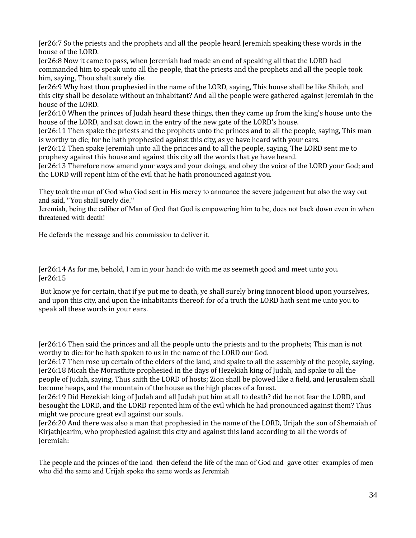Jer26:7 So the priests and the prophets and all the people heard Jeremiah speaking these words in the house of the LORD.

Jer26:8 Now it came to pass, when Jeremiah had made an end of speaking all that the LORD had commanded him to speak unto all the people, that the priests and the prophets and all the people took him, saying, Thou shalt surely die.

Jer26:9 Why hast thou prophesied in the name of the LORD, saying, This house shall be like Shiloh, and this city shall be desolate without an inhabitant? And all the people were gathered against Jeremiah in the house of the LORD.

Jer26:10 When the princes of Judah heard these things, then they came up from the king's house unto the house of the LORD, and sat down in the entry of the new gate of the LORD's house.

Jer26:11 Then spake the priests and the prophets unto the princes and to all the people, saying, This man is worthy to die; for he hath prophesied against this city, as ye have heard with your ears.

Jer26:12 Then spake Jeremiah unto all the princes and to all the people, saying, The LORD sent me to prophesy against this house and against this city all the words that ye have heard.

Jer26:13 Therefore now amend your ways and your doings, and obey the voice of the LORD your God; and the LORD will repent him of the evil that he hath pronounced against you.

They took the man of God who God sent in His mercy to announce the severe judgement but also the way out and said, "You shall surely die."

Jeremiah, being the caliber of Man of God that God is empowering him to be, does not back down even in when threatened with death!

He defends the message and his commission to deliver it.

Jer26:14 As for me, behold, I am in your hand: do with me as seemeth good and meet unto you. Jer26:15

 But know ye for certain, that if ye put me to death, ye shall surely bring innocent blood upon yourselves, and upon this city, and upon the inhabitants thereof: for of a truth the LORD hath sent me unto you to speak all these words in your ears.

Jer26:16 Then said the princes and all the people unto the priests and to the prophets; This man is not worthy to die: for he hath spoken to us in the name of the LORD our God.

Jer26:17 Then rose up certain of the elders of the land, and spake to all the assembly of the people, saying, Jer26:18 Micah the Morasthite prophesied in the days of Hezekiah king of Judah, and spake to all the people of Judah, saying, Thus saith the LORD of hosts; Zion shall be plowed like a field, and Jerusalem shall become heaps, and the mountain of the house as the high places of a forest.

Jer26:19 Did Hezekiah king of Judah and all Judah put him at all to death? did he not fear the LORD, and besought the LORD, and the LORD repented him of the evil which he had pronounced against them? Thus might we procure great evil against our souls.

Jer26:20 And there was also a man that prophesied in the name of the LORD, Urijah the son of Shemaiah of Kirjathjearim, who prophesied against this city and against this land according to all the words of Jeremiah:

The people and the princes of the land then defend the life of the man of God and gave other examples of men who did the same and Urijah spoke the same words as Jeremiah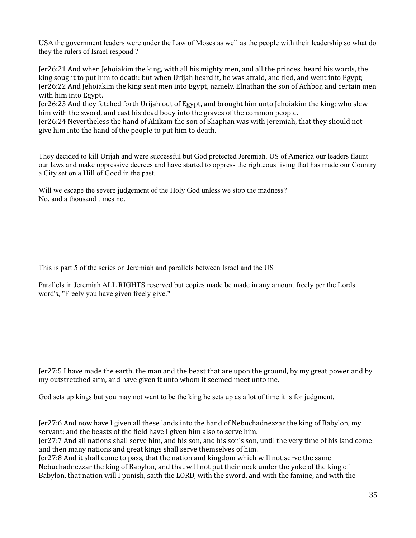USA the government leaders were under the Law of Moses as well as the people with their leadership so what do they the rulers of Israel respond ?

Jer26:21 And when Jehoiakim the king, with all his mighty men, and all the princes, heard his words, the king sought to put him to death: but when Urijah heard it, he was afraid, and fled, and went into Egypt; Jer26:22 And Jehoiakim the king sent men into Egypt, namely, Elnathan the son of Achbor, and certain men with him into Egypt.

Jer26:23 And they fetched forth Urijah out of Egypt, and brought him unto Jehoiakim the king; who slew him with the sword, and cast his dead body into the graves of the common people.

Jer26:24 Nevertheless the hand of Ahikam the son of Shaphan was with Jeremiah, that they should not give him into the hand of the people to put him to death.

They decided to kill Urijah and were successful but God protected Jeremiah. US of America our leaders flaunt our laws and make oppressive decrees and have started to oppress the righteous living that has made our Country a City set on a Hill of Good in the past.

Will we escape the severe judgement of the Holy God unless we stop the madness? No, and a thousand times no.

This is part 5 of the series on Jeremiah and parallels between Israel and the US

Parallels in Jeremiah ALL RIGHTS reserved but copies made be made in any amount freely per the Lords word's, "Freely you have given freely give."

Jer27:5 I have made the earth, the man and the beast that are upon the ground, by my great power and by my outstretched arm, and have given it unto whom it seemed meet unto me.

God sets up kings but you may not want to be the king he sets up as a lot of time it is for judgment.

Jer27:6 And now have I given all these lands into the hand of Nebuchadnezzar the king of Babylon, my servant; and the beasts of the field have I given him also to serve him.

Jer27:7 And all nations shall serve him, and his son, and his son's son, until the very time of his land come: and then many nations and great kings shall serve themselves of him.

Jer27:8 And it shall come to pass, that the nation and kingdom which will not serve the same Nebuchadnezzar the king of Babylon, and that will not put their neck under the yoke of the king of Babylon, that nation will I punish, saith the LORD, with the sword, and with the famine, and with the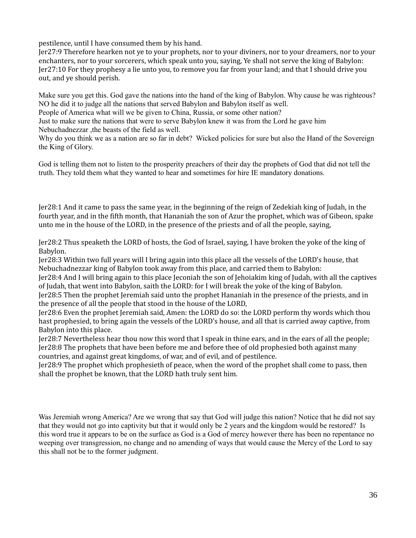pestilence, until I have consumed them by his hand.

Jer27:9 Therefore hearken not ye to your prophets, nor to your diviners, nor to your dreamers, nor to your enchanters, nor to your sorcerers, which speak unto you, saying, Ye shall not serve the king of Babylon: Jer27:10 For they prophesy a lie unto you, to remove you far from your land; and that I should drive you out, and ye should perish.

Make sure you get this. God gave the nations into the hand of the king of Babylon. Why cause he was righteous? NO he did it to judge all the nations that served Babylon and Babylon itself as well.

People of America what will we be given to China, Russia, or some other nation?

Just to make sure the nations that were to serve Babylon knew it was from the Lord he gave him Nebuchadnezzar ,the beasts of the field as well.

Why do you think we as a nation are so far in debt? Wicked policies for sure but also the Hand of the Sovereign the King of Glory.

God is telling them not to listen to the prosperity preachers of their day the prophets of God that did not tell the truth. They told them what they wanted to hear and sometimes for hire IE mandatory donations.

Jer28:1 And it came to pass the same year, in the beginning of the reign of Zedekiah king of Judah, in the fourth year, and in the fifth month, that Hananiah the son of Azur the prophet, which was of Gibeon, spake unto me in the house of the LORD, in the presence of the priests and of all the people, saying,

Jer28:2 Thus speaketh the LORD of hosts, the God of Israel, saying, I have broken the yoke of the king of Babylon.

Jer28:3 Within two full years will I bring again into this place all the vessels of the LORD's house, that Nebuchadnezzar king of Babylon took away from this place, and carried them to Babylon:

Jer28:4 And I will bring again to this place Jeconiah the son of Jehoiakim king of Judah, with all the captives of Judah, that went into Babylon, saith the LORD: for I will break the yoke of the king of Babylon.

Jer28:5 Then the prophet Jeremiah said unto the prophet Hananiah in the presence of the priests, and in the presence of all the people that stood in the house of the LORD,

Jer28:6 Even the prophet Jeremiah said, Amen: the LORD do so: the LORD perform thy words which thou hast prophesied, to bring again the vessels of the LORD's house, and all that is carried away captive, from Babylon into this place.

Jer28:7 Nevertheless hear thou now this word that I speak in thine ears, and in the ears of all the people; Jer28:8 The prophets that have been before me and before thee of old prophesied both against many countries, and against great kingdoms, of war, and of evil, and of pestilence.

Jer28:9 The prophet which prophesieth of peace, when the word of the prophet shall come to pass, then shall the prophet be known, that the LORD hath truly sent him.

Was Jeremiah wrong America? Are we wrong that say that God will judge this nation? Notice that he did not say that they would not go into captivity but that it would only be 2 years and the kingdom would be restored? Is this word true it appears to be on the surface as God is a God of mercy however there has been no repentance no weeping over transgression, no change and no amending of ways that would cause the Mercy of the Lord to say this shall not be to the former judgment.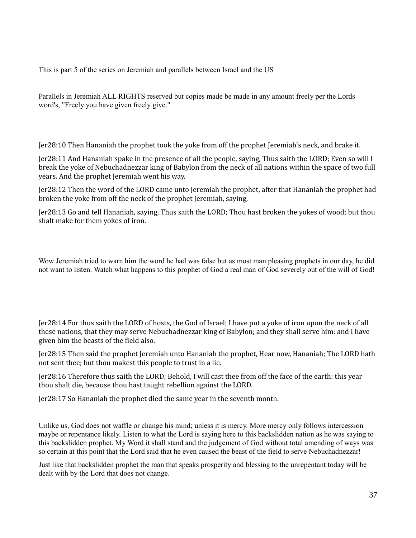This is part 5 of the series on Jeremiah and parallels between Israel and the US

Parallels in Jeremiah ALL RIGHTS reserved but copies made be made in any amount freely per the Lords word's, "Freely you have given freely give."

Jer28:10 Then Hananiah the prophet took the yoke from off the prophet Jeremiah's neck, and brake it.

Jer28:11 And Hananiah spake in the presence of all the people, saying, Thus saith the LORD; Even so will I break the yoke of Nebuchadnezzar king of Babylon from the neck of all nations within the space of two full years. And the prophet Jeremiah went his way.

Jer28:12 Then the word of the LORD came unto Jeremiah the prophet, after that Hananiah the prophet had broken the yoke from off the neck of the prophet Jeremiah, saying,

Jer28:13 Go and tell Hananiah, saying, Thus saith the LORD; Thou hast broken the yokes of wood; but thou shalt make for them yokes of iron.

Wow Jeremiah tried to warn him the word he had was false but as most man pleasing prophets in our day, he did not want to listen. Watch what happens to this prophet of God a real man of God severely out of the will of God!

Jer28:14 For thus saith the LORD of hosts, the God of Israel; I have put a yoke of iron upon the neck of all these nations, that they may serve Nebuchadnezzar king of Babylon; and they shall serve him: and I have given him the beasts of the field also.

Jer28:15 Then said the prophet Jeremiah unto Hananiah the prophet, Hear now, Hananiah; The LORD hath not sent thee; but thou makest this people to trust in a lie.

Jer28:16 Therefore thus saith the LORD; Behold, I will cast thee from off the face of the earth: this year thou shalt die, because thou hast taught rebellion against the LORD.

Jer28:17 So Hananiah the prophet died the same year in the seventh month.

Unlike us, God does not waffle or change his mind; unless it is mercy. More mercy only follows intercession maybe or repentance likely. Listen to what the Lord is saying here to this backslidden nation as he was saying to this backslidden prophet. My Word it shall stand and the judgement of God without total amending of ways was so certain at this point that the Lord said that he even caused the beast of the field to serve Nebuchadnezzar!

Just like that backslidden prophet the man that speaks prosperity and blessing to the unrepentant today will be dealt with by the Lord that does not change.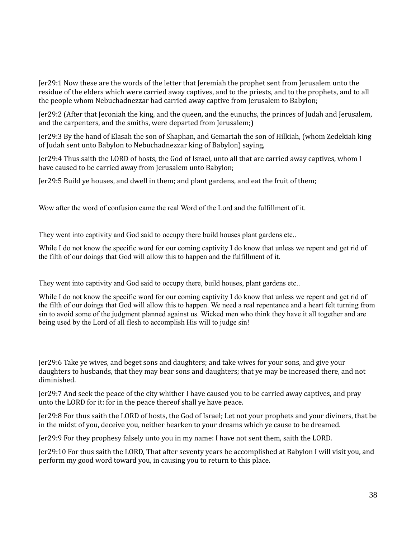Jer29:1 Now these are the words of the letter that Jeremiah the prophet sent from Jerusalem unto the residue of the elders which were carried away captives, and to the priests, and to the prophets, and to all the people whom Nebuchadnezzar had carried away captive from Jerusalem to Babylon;

Jer29:2 (After that Jeconiah the king, and the queen, and the eunuchs, the princes of Judah and Jerusalem, and the carpenters, and the smiths, were departed from Jerusalem;)

Jer29:3 By the hand of Elasah the son of Shaphan, and Gemariah the son of Hilkiah, (whom Zedekiah king of Judah sent unto Babylon to Nebuchadnezzar king of Babylon) saying,

Jer29:4 Thus saith the LORD of hosts, the God of Israel, unto all that are carried away captives, whom I have caused to be carried away from Jerusalem unto Babylon;

Jer29:5 Build ye houses, and dwell in them; and plant gardens, and eat the fruit of them;

Wow after the word of confusion came the real Word of the Lord and the fulfillment of it.

They went into captivity and God said to occupy there build houses plant gardens etc..

While I do not know the specific word for our coming captivity I do know that unless we repent and get rid of the filth of our doings that God will allow this to happen and the fulfillment of it.

They went into captivity and God said to occupy there, build houses, plant gardens etc..

While I do not know the specific word for our coming captivity I do know that unless we repent and get rid of the filth of our doings that God will allow this to happen. We need a real repentance and a heart felt turning from sin to avoid some of the judgment planned against us. Wicked men who think they have it all together and are being used by the Lord of all flesh to accomplish His will to judge sin!

Jer29:6 Take ye wives, and beget sons and daughters; and take wives for your sons, and give your daughters to husbands, that they may bear sons and daughters; that ye may be increased there, and not diminished.

Jer29:7 And seek the peace of the city whither I have caused you to be carried away captives, and pray unto the LORD for it: for in the peace thereof shall ye have peace.

Jer29:8 For thus saith the LORD of hosts, the God of Israel; Let not your prophets and your diviners, that be in the midst of you, deceive you, neither hearken to your dreams which ye cause to be dreamed.

Jer29:9 For they prophesy falsely unto you in my name: I have not sent them, saith the LORD.

Jer29:10 For thus saith the LORD, That after seventy years be accomplished at Babylon I will visit you, and perform my good word toward you, in causing you to return to this place.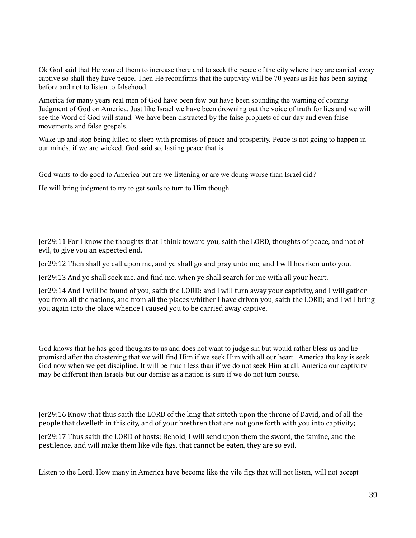Ok God said that He wanted them to increase there and to seek the peace of the city where they are carried away captive so shall they have peace. Then He reconfirms that the captivity will be 70 years as He has been saying before and not to listen to falsehood.

America for many years real men of God have been few but have been sounding the warning of coming Judgment of God on America. Just like Israel we have been drowning out the voice of truth for lies and we will see the Word of God will stand. We have been distracted by the false prophets of our day and even false movements and false gospels.

Wake up and stop being lulled to sleep with promises of peace and prosperity. Peace is not going to happen in our minds, if we are wicked. God said so, lasting peace that is.

God wants to do good to America but are we listening or are we doing worse than Israel did?

He will bring judgment to try to get souls to turn to Him though.

Jer29:11 For I know the thoughts that I think toward you, saith the LORD, thoughts of peace, and not of evil, to give you an expected end.

Jer29:12 Then shall ye call upon me, and ye shall go and pray unto me, and I will hearken unto you.

Jer29:13 And ye shall seek me, and find me, when ye shall search for me with all your heart.

Jer29:14 And I will be found of you, saith the LORD: and I will turn away your captivity, and I will gather you from all the nations, and from all the places whither I have driven you, saith the LORD; and I will bring you again into the place whence I caused you to be carried away captive.

God knows that he has good thoughts to us and does not want to judge sin but would rather bless us and he promised after the chastening that we will find Him if we seek Him with all our heart. America the key is seek God now when we get discipline. It will be much less than if we do not seek Him at all. America our captivity may be different than Israels but our demise as a nation is sure if we do not turn course.

Jer29:16 Know that thus saith the LORD of the king that sitteth upon the throne of David, and of all the people that dwelleth in this city, and of your brethren that are not gone forth with you into captivity;

Jer29:17 Thus saith the LORD of hosts; Behold, I will send upon them the sword, the famine, and the pestilence, and will make them like vile figs, that cannot be eaten, they are so evil.

Listen to the Lord. How many in America have become like the vile figs that will not listen, will not accept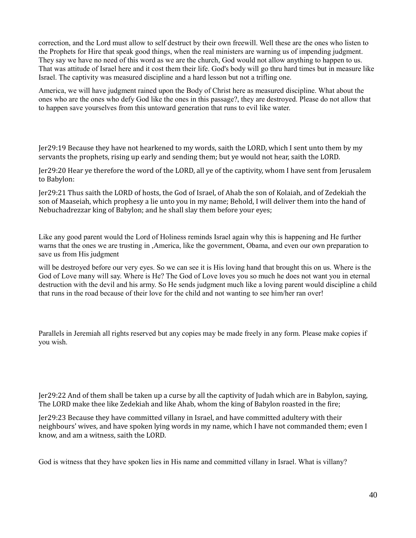correction, and the Lord must allow to self destruct by their own freewill. Well these are the ones who listen to the Prophets for Hire that speak good things, when the real ministers are warning us of impending judgment. They say we have no need of this word as we are the church, God would not allow anything to happen to us. That was attitude of Israel here and it cost them their life. God's body will go thru hard times but in measure like Israel. The captivity was measured discipline and a hard lesson but not a trifling one.

America, we will have judgment rained upon the Body of Christ here as measured discipline. What about the ones who are the ones who defy God like the ones in this passage?, they are destroyed. Please do not allow that to happen save yourselves from this untoward generation that runs to evil like water.

Jer29:19 Because they have not hearkened to my words, saith the LORD, which I sent unto them by my servants the prophets, rising up early and sending them; but ye would not hear, saith the LORD.

Jer29:20 Hear ye therefore the word of the LORD, all ye of the captivity, whom I have sent from Jerusalem to Babylon:

Jer29:21 Thus saith the LORD of hosts, the God of Israel, of Ahab the son of Kolaiah, and of Zedekiah the son of Maaseiah, which prophesy a lie unto you in my name; Behold, I will deliver them into the hand of Nebuchadrezzar king of Babylon; and he shall slay them before your eyes;

Like any good parent would the Lord of Holiness reminds Israel again why this is happening and He further warns that the ones we are trusting in ,America, like the government, Obama, and even our own preparation to save us from His judgment

will be destroyed before our very eyes. So we can see it is His loving hand that brought this on us. Where is the God of Love many will say. Where is He? The God of Love loves you so much he does not want you in eternal destruction with the devil and his army. So He sends judgment much like a loving parent would discipline a child that runs in the road because of their love for the child and not wanting to see him/her ran over!

Parallels in Jeremiah all rights reserved but any copies may be made freely in any form. Please make copies if you wish.

Jer29:22 And of them shall be taken up a curse by all the captivity of Judah which are in Babylon, saying, The LORD make thee like Zedekiah and like Ahab, whom the king of Babylon roasted in the fire;

Jer29:23 Because they have committed villany in Israel, and have committed adultery with their neighbours' wives, and have spoken lying words in my name, which I have not commanded them; even I know, and am a witness, saith the LORD.

God is witness that they have spoken lies in His name and committed villany in Israel. What is villany?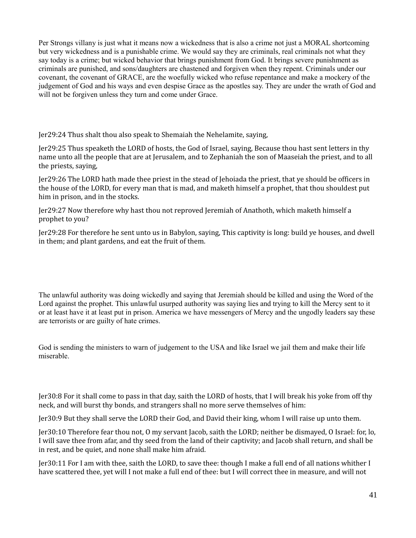Per Strongs villany is just what it means now a wickedness that is also a crime not just a MORAL shortcoming but very wickedness and is a punishable crime. We would say they are criminals, real criminals not what they say today is a crime; but wicked behavior that brings punishment from God. It brings severe punishment as criminals are punished, and sons/daughters are chastened and forgiven when they repent. Criminals under our covenant, the covenant of GRACE, are the woefully wicked who refuse repentance and make a mockery of the judgement of God and his ways and even despise Grace as the apostles say. They are under the wrath of God and will not be forgiven unless they turn and come under Grace.

Jer29:24 Thus shalt thou also speak to Shemaiah the Nehelamite, saying,

Jer29:25 Thus speaketh the LORD of hosts, the God of Israel, saying, Because thou hast sent letters in thy name unto all the people that are at Jerusalem, and to Zephaniah the son of Maaseiah the priest, and to all the priests, saying,

Jer29:26 The LORD hath made thee priest in the stead of Jehoiada the priest, that ye should be officers in the house of the LORD, for every man that is mad, and maketh himself a prophet, that thou shouldest put him in prison, and in the stocks.

Jer29:27 Now therefore why hast thou not reproved Jeremiah of Anathoth, which maketh himself a prophet to you?

Jer29:28 For therefore he sent unto us in Babylon, saying, This captivity is long: build ye houses, and dwell in them; and plant gardens, and eat the fruit of them.

The unlawful authority was doing wickedly and saying that Jeremiah should be killed and using the Word of the Lord against the prophet. This unlawful usurped authority was saying lies and trying to kill the Mercy sent to it or at least have it at least put in prison. America we have messengers of Mercy and the ungodly leaders say these are terrorists or are guilty of hate crimes.

God is sending the ministers to warn of judgement to the USA and like Israel we jail them and make their life miserable.

Jer30:8 For it shall come to pass in that day, saith the LORD of hosts, that I will break his yoke from off thy neck, and will burst thy bonds, and strangers shall no more serve themselves of him:

Jer30:9 But they shall serve the LORD their God, and David their king, whom I will raise up unto them.

Jer30:10 Therefore fear thou not, O my servant Jacob, saith the LORD; neither be dismayed, O Israel: for, lo, I will save thee from afar, and thy seed from the land of their captivity; and Jacob shall return, and shall be in rest, and be quiet, and none shall make him afraid.

Jer30:11 For I am with thee, saith the LORD, to save thee: though I make a full end of all nations whither I have scattered thee, yet will I not make a full end of thee: but I will correct thee in measure, and will not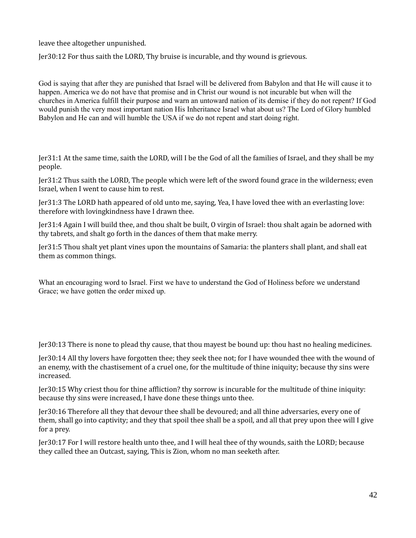leave thee altogether unpunished.

Jer30:12 For thus saith the LORD, Thy bruise is incurable, and thy wound is grievous.

God is saying that after they are punished that Israel will be delivered from Babylon and that He will cause it to happen. America we do not have that promise and in Christ our wound is not incurable but when will the churches in America fulfill their purpose and warn an untoward nation of its demise if they do not repent? If God would punish the very most important nation His Inheritance Israel what about us? The Lord of Glory humbled Babylon and He can and will humble the USA if we do not repent and start doing right.

Jer31:1 At the same time, saith the LORD, will I be the God of all the families of Israel, and they shall be my people.

Jer31:2 Thus saith the LORD, The people which were left of the sword found grace in the wilderness; even Israel, when I went to cause him to rest.

Jer31:3 The LORD hath appeared of old unto me, saying, Yea, I have loved thee with an everlasting love: therefore with lovingkindness have I drawn thee.

Jer31:4 Again I will build thee, and thou shalt be built, O virgin of Israel: thou shalt again be adorned with thy tabrets, and shalt go forth in the dances of them that make merry.

Jer31:5 Thou shalt yet plant vines upon the mountains of Samaria: the planters shall plant, and shall eat them as common things.

What an encouraging word to Israel. First we have to understand the God of Holiness before we understand Grace; we have gotten the order mixed up.

Jer30:13 There is none to plead thy cause, that thou mayest be bound up: thou hast no healing medicines.

Jer30:14 All thy lovers have forgotten thee; they seek thee not; for I have wounded thee with the wound of an enemy, with the chastisement of a cruel one, for the multitude of thine iniquity; because thy sins were increased.

Jer30:15 Why criest thou for thine affliction? thy sorrow is incurable for the multitude of thine iniquity: because thy sins were increased, I have done these things unto thee.

Jer30:16 Therefore all they that devour thee shall be devoured; and all thine adversaries, every one of them, shall go into captivity; and they that spoil thee shall be a spoil, and all that prey upon thee will I give for a prey.

Jer30:17 For I will restore health unto thee, and I will heal thee of thy wounds, saith the LORD; because they called thee an Outcast, saying, This is Zion, whom no man seeketh after.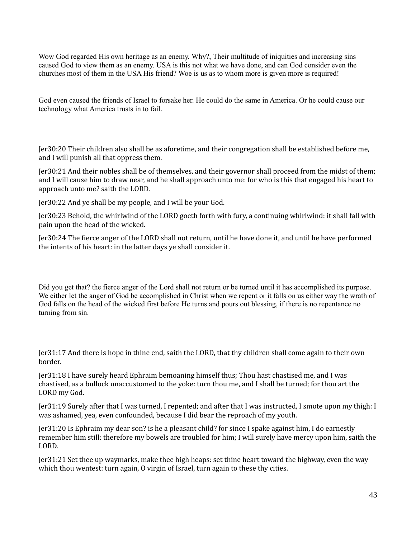Wow God regarded His own heritage as an enemy. Why?, Their multitude of iniquities and increasing sins caused God to view them as an enemy. USA is this not what we have done, and can God consider even the churches most of them in the USA His friend? Woe is us as to whom more is given more is required!

God even caused the friends of Israel to forsake her. He could do the same in America. Or he could cause our technology what America trusts in to fail.

Jer30:20 Their children also shall be as aforetime, and their congregation shall be established before me, and I will punish all that oppress them.

Jer30:21 And their nobles shall be of themselves, and their governor shall proceed from the midst of them; and I will cause him to draw near, and he shall approach unto me: for who is this that engaged his heart to approach unto me? saith the LORD.

Jer30:22 And ye shall be my people, and I will be your God.

Jer30:23 Behold, the whirlwind of the LORD goeth forth with fury, a continuing whirlwind: it shall fall with pain upon the head of the wicked.

Jer30:24 The fierce anger of the LORD shall not return, until he have done it, and until he have performed the intents of his heart: in the latter days ye shall consider it.

Did you get that? the fierce anger of the Lord shall not return or be turned until it has accomplished its purpose. We either let the anger of God be accomplished in Christ when we repent or it falls on us either way the wrath of God falls on the head of the wicked first before He turns and pours out blessing, if there is no repentance no turning from sin.

Jer31:17 And there is hope in thine end, saith the LORD, that thy children shall come again to their own border.

Jer31:18 I have surely heard Ephraim bemoaning himself thus; Thou hast chastised me, and I was chastised, as a bullock unaccustomed to the yoke: turn thou me, and I shall be turned; for thou art the LORD my God.

Jer31:19 Surely after that I was turned, I repented; and after that I was instructed, I smote upon my thigh: I was ashamed, yea, even confounded, because I did bear the reproach of my youth.

Jer31:20 Is Ephraim my dear son? is he a pleasant child? for since I spake against him, I do earnestly remember him still: therefore my bowels are troubled for him; I will surely have mercy upon him, saith the LORD.

Jer31:21 Set thee up waymarks, make thee high heaps: set thine heart toward the highway, even the way which thou wentest: turn again, O virgin of Israel, turn again to these thy cities.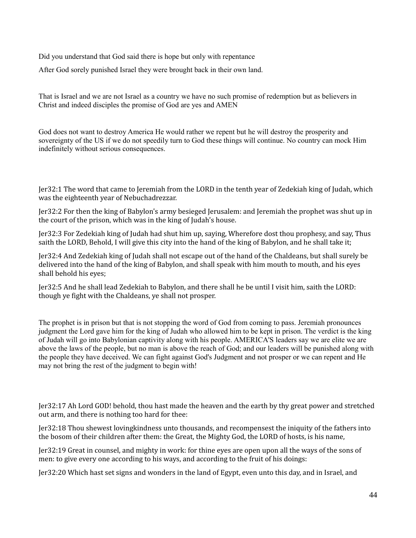Did you understand that God said there is hope but only with repentance

After God sorely punished Israel they were brought back in their own land.

That is Israel and we are not Israel as a country we have no such promise of redemption but as believers in Christ and indeed disciples the promise of God are yes and AMEN

God does not want to destroy America He would rather we repent but he will destroy the prosperity and sovereignty of the US if we do not speedily turn to God these things will continue. No country can mock Him indefinitely without serious consequences.

Jer32:1 The word that came to Jeremiah from the LORD in the tenth year of Zedekiah king of Judah, which was the eighteenth year of Nebuchadrezzar.

Jer32:2 For then the king of Babylon's army besieged Jerusalem: and Jeremiah the prophet was shut up in the court of the prison, which was in the king of Judah's house.

Jer32:3 For Zedekiah king of Judah had shut him up, saying, Wherefore dost thou prophesy, and say, Thus saith the LORD, Behold, I will give this city into the hand of the king of Babylon, and he shall take it;

Jer32:4 And Zedekiah king of Judah shall not escape out of the hand of the Chaldeans, but shall surely be delivered into the hand of the king of Babylon, and shall speak with him mouth to mouth, and his eyes shall behold his eyes;

Jer32:5 And he shall lead Zedekiah to Babylon, and there shall he be until I visit him, saith the LORD: though ye fight with the Chaldeans, ye shall not prosper.

The prophet is in prison but that is not stopping the word of God from coming to pass. Jeremiah pronounces judgment the Lord gave him for the king of Judah who allowed him to be kept in prison. The verdict is the king of Judah will go into Babylonian captivity along with his people. AMERICA'S leaders say we are elite we are above the laws of the people, but no man is above the reach of God; and our leaders will be punished along with the people they have deceived. We can fight against God's Judgment and not prosper or we can repent and He may not bring the rest of the judgment to begin with!

Jer32:17 Ah Lord GOD! behold, thou hast made the heaven and the earth by thy great power and stretched out arm, and there is nothing too hard for thee:

Jer32:18 Thou shewest lovingkindness unto thousands, and recompensest the iniquity of the fathers into the bosom of their children after them: the Great, the Mighty God, the LORD of hosts, is his name,

Jer32:19 Great in counsel, and mighty in work: for thine eyes are open upon all the ways of the sons of men: to give every one according to his ways, and according to the fruit of his doings:

Jer32:20 Which hast set signs and wonders in the land of Egypt, even unto this day, and in Israel, and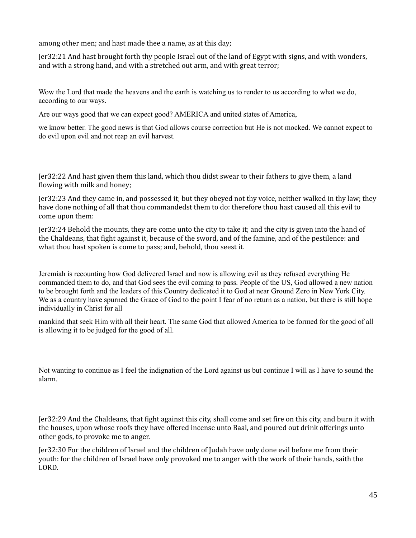among other men; and hast made thee a name, as at this day;

Jer32:21 And hast brought forth thy people Israel out of the land of Egypt with signs, and with wonders, and with a strong hand, and with a stretched out arm, and with great terror;

Wow the Lord that made the heavens and the earth is watching us to render to us according to what we do, according to our ways.

Are our ways good that we can expect good? AMERICA and united states of America,

we know better. The good news is that God allows course correction but He is not mocked. We cannot expect to do evil upon evil and not reap an evil harvest.

Jer32:22 And hast given them this land, which thou didst swear to their fathers to give them, a land flowing with milk and honey;

Jer32:23 And they came in, and possessed it; but they obeyed not thy voice, neither walked in thy law; they have done nothing of all that thou commandedst them to do: therefore thou hast caused all this evil to come upon them:

Jer32:24 Behold the mounts, they are come unto the city to take it; and the city is given into the hand of the Chaldeans, that fight against it, because of the sword, and of the famine, and of the pestilence: and what thou hast spoken is come to pass; and, behold, thou seest it.

Jeremiah is recounting how God delivered Israel and now is allowing evil as they refused everything He commanded them to do, and that God sees the evil coming to pass. People of the US, God allowed a new nation to be brought forth and the leaders of this Country dedicated it to God at near Ground Zero in New York City. We as a country have spurned the Grace of God to the point I fear of no return as a nation, but there is still hope individually in Christ for all

mankind that seek Him with all their heart. The same God that allowed America to be formed for the good of all is allowing it to be judged for the good of all.

Not wanting to continue as I feel the indignation of the Lord against us but continue I will as I have to sound the alarm.

Jer32:29 And the Chaldeans, that fight against this city, shall come and set fire on this city, and burn it with the houses, upon whose roofs they have offered incense unto Baal, and poured out drink offerings unto other gods, to provoke me to anger.

Jer32:30 For the children of Israel and the children of Judah have only done evil before me from their youth: for the children of Israel have only provoked me to anger with the work of their hands, saith the LORD.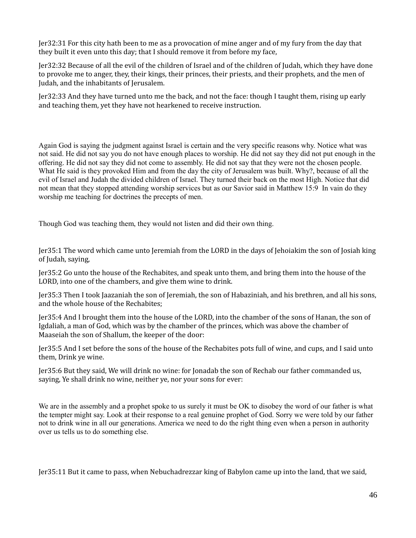Jer32:31 For this city hath been to me as a provocation of mine anger and of my fury from the day that they built it even unto this day; that I should remove it from before my face,

Jer32:32 Because of all the evil of the children of Israel and of the children of Judah, which they have done to provoke me to anger, they, their kings, their princes, their priests, and their prophets, and the men of Judah, and the inhabitants of Jerusalem.

Jer32:33 And they have turned unto me the back, and not the face: though I taught them, rising up early and teaching them, yet they have not hearkened to receive instruction.

Again God is saying the judgment against Israel is certain and the very specific reasons why. Notice what was not said. He did not say you do not have enough places to worship. He did not say they did not put enough in the offering. He did not say they did not come to assembly. He did not say that they were not the chosen people. What He said is they provoked Him and from the day the city of Jerusalem was built. Why?, because of all the evil of Israel and Judah the divided children of Israel. They turned their back on the most High. Notice that did not mean that they stopped attending worship services but as our Savior said in Matthew 15:9 In vain do they worship me teaching for doctrines the precepts of men.

Though God was teaching them, they would not listen and did their own thing.

Jer35:1 The word which came unto Jeremiah from the LORD in the days of Jehoiakim the son of Josiah king of Judah, saying,

Jer35:2 Go unto the house of the Rechabites, and speak unto them, and bring them into the house of the LORD, into one of the chambers, and give them wine to drink.

Jer35:3 Then I took Jaazaniah the son of Jeremiah, the son of Habaziniah, and his brethren, and all his sons, and the whole house of the Rechabites;

Jer35:4 And I brought them into the house of the LORD, into the chamber of the sons of Hanan, the son of Igdaliah, a man of God, which was by the chamber of the princes, which was above the chamber of Maaseiah the son of Shallum, the keeper of the door:

Jer35:5 And I set before the sons of the house of the Rechabites pots full of wine, and cups, and I said unto them, Drink ye wine.

Jer35:6 But they said, We will drink no wine: for Jonadab the son of Rechab our father commanded us, saying, Ye shall drink no wine, neither ye, nor your sons for ever:

We are in the assembly and a prophet spoke to us surely it must be OK to disobey the word of our father is what the tempter might say. Look at their response to a real genuine prophet of God. Sorry we were told by our father not to drink wine in all our generations. America we need to do the right thing even when a person in authority over us tells us to do something else.

Jer35:11 But it came to pass, when Nebuchadrezzar king of Babylon came up into the land, that we said,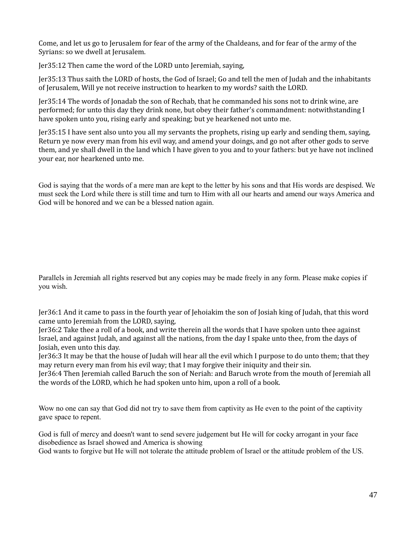Come, and let us go to Jerusalem for fear of the army of the Chaldeans, and for fear of the army of the Syrians: so we dwell at Jerusalem.

Jer35:12 Then came the word of the LORD unto Jeremiah, saying,

Jer35:13 Thus saith the LORD of hosts, the God of Israel; Go and tell the men of Judah and the inhabitants of Jerusalem, Will ye not receive instruction to hearken to my words? saith the LORD.

Jer35:14 The words of Jonadab the son of Rechab, that he commanded his sons not to drink wine, are performed; for unto this day they drink none, but obey their father's commandment: notwithstanding I have spoken unto you, rising early and speaking; but ye hearkened not unto me.

Jer35:15 I have sent also unto you all my servants the prophets, rising up early and sending them, saying, Return ye now every man from his evil way, and amend your doings, and go not after other gods to serve them, and ye shall dwell in the land which I have given to you and to your fathers: but ye have not inclined your ear, nor hearkened unto me.

God is saying that the words of a mere man are kept to the letter by his sons and that His words are despised. We must seek the Lord while there is still time and turn to Him with all our hearts and amend our ways America and God will be honored and we can be a blessed nation again.

Parallels in Jeremiah all rights reserved but any copies may be made freely in any form. Please make copies if you wish.

Jer36:1 And it came to pass in the fourth year of Jehoiakim the son of Josiah king of Judah, that this word came unto Jeremiah from the LORD, saying,

Jer36:2 Take thee a roll of a book, and write therein all the words that I have spoken unto thee against Israel, and against Judah, and against all the nations, from the day I spake unto thee, from the days of Josiah, even unto this day.

Jer36:3 It may be that the house of Judah will hear all the evil which I purpose to do unto them; that they may return every man from his evil way; that I may forgive their iniquity and their sin.

Jer36:4 Then Jeremiah called Baruch the son of Neriah: and Baruch wrote from the mouth of Jeremiah all the words of the LORD, which he had spoken unto him, upon a roll of a book.

Wow no one can say that God did not try to save them from captivity as He even to the point of the captivity gave space to repent.

God is full of mercy and doesn't want to send severe judgement but He will for cocky arrogant in your face disobedience as Israel showed and America is showing

God wants to forgive but He will not tolerate the attitude problem of Israel or the attitude problem of the US.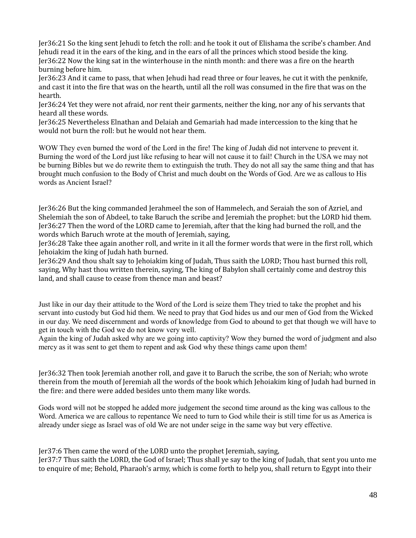Jer36:21 So the king sent Jehudi to fetch the roll: and he took it out of Elishama the scribe's chamber. And Jehudi read it in the ears of the king, and in the ears of all the princes which stood beside the king. Jer36:22 Now the king sat in the winterhouse in the ninth month: and there was a fire on the hearth burning before him.

Jer36:23 And it came to pass, that when Jehudi had read three or four leaves, he cut it with the penknife, and cast it into the fire that was on the hearth, until all the roll was consumed in the fire that was on the hearth.

Jer36:24 Yet they were not afraid, nor rent their garments, neither the king, nor any of his servants that heard all these words.

Jer36:25 Nevertheless Elnathan and Delaiah and Gemariah had made intercession to the king that he would not burn the roll: but he would not hear them.

WOW They even burned the word of the Lord in the fire! The king of Judah did not intervene to prevent it. Burning the word of the Lord just like refusing to hear will not cause it to fail! Church in the USA we may not be burning Bibles but we do rewrite them to extinguish the truth. They do not all say the same thing and that has brought much confusion to the Body of Christ and much doubt on the Words of God. Are we as callous to His words as Ancient Israel?

Jer36:26 But the king commanded Jerahmeel the son of Hammelech, and Seraiah the son of Azriel, and Shelemiah the son of Abdeel, to take Baruch the scribe and Jeremiah the prophet: but the LORD hid them. Jer36:27 Then the word of the LORD came to Jeremiah, after that the king had burned the roll, and the words which Baruch wrote at the mouth of Jeremiah, saying,

Jer36:28 Take thee again another roll, and write in it all the former words that were in the first roll, which Jehoiakim the king of Judah hath burned.

Jer36:29 And thou shalt say to Jehoiakim king of Judah, Thus saith the LORD; Thou hast burned this roll, saying, Why hast thou written therein, saying, The king of Babylon shall certainly come and destroy this land, and shall cause to cease from thence man and beast?

Just like in our day their attitude to the Word of the Lord is seize them They tried to take the prophet and his servant into custody but God hid them. We need to pray that God hides us and our men of God from the Wicked in our day. We need discernment and words of knowledge from God to abound to get that though we will have to get in touch with the God we do not know very well.

Again the king of Judah asked why are we going into captivity? Wow they burned the word of judgment and also mercy as it was sent to get them to repent and ask God why these things came upon them!

Jer36:32 Then took Jeremiah another roll, and gave it to Baruch the scribe, the son of Neriah; who wrote therein from the mouth of Jeremiah all the words of the book which Jehoiakim king of Judah had burned in the fire: and there were added besides unto them many like words.

Gods word will not be stopped he added more judgement the second time around as the king was callous to the Word. America we are callous to repentance We need to turn to God while their is still time for us as America is already under siege as Israel was of old We are not under seige in the same way but very effective.

Jer37:6 Then came the word of the LORD unto the prophet Jeremiah, saying,

Jer37:7 Thus saith the LORD, the God of Israel; Thus shall ye say to the king of Judah, that sent you unto me to enquire of me; Behold, Pharaoh's army, which is come forth to help you, shall return to Egypt into their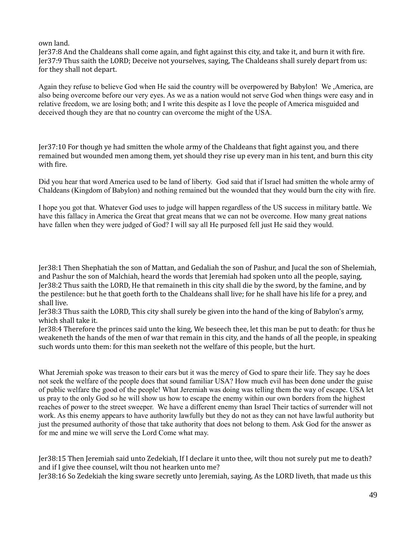## own land.

Jer37:8 And the Chaldeans shall come again, and fight against this city, and take it, and burn it with fire. Jer37:9 Thus saith the LORD; Deceive not yourselves, saying, The Chaldeans shall surely depart from us: for they shall not depart.

Again they refuse to believe God when He said the country will be overpowered by Babylon! We ,America, are also being overcome before our very eyes. As we as a nation would not serve God when things were easy and in relative freedom, we are losing both; and I write this despite as I love the people of America misguided and deceived though they are that no country can overcome the might of the USA.

Jer37:10 For though ye had smitten the whole army of the Chaldeans that fight against you, and there remained but wounded men among them, yet should they rise up every man in his tent, and burn this city with fire.

Did you hear that word America used to be land of liberty. God said that if Israel had smitten the whole army of Chaldeans (Kingdom of Babylon) and nothing remained but the wounded that they would burn the city with fire.

I hope you got that. Whatever God uses to judge will happen regardless of the US success in military battle. We have this fallacy in America the Great that great means that we can not be overcome. How many great nations have fallen when they were judged of God? I will say all He purposed fell just He said they would.

Jer38:1 Then Shephatiah the son of Mattan, and Gedaliah the son of Pashur, and Jucal the son of Shelemiah, and Pashur the son of Malchiah, heard the words that Jeremiah had spoken unto all the people, saying, Jer38:2 Thus saith the LORD, He that remaineth in this city shall die by the sword, by the famine, and by the pestilence: but he that goeth forth to the Chaldeans shall live; for he shall have his life for a prey, and shall live.

Jer38:3 Thus saith the LORD, This city shall surely be given into the hand of the king of Babylon's army, which shall take it.

Jer38:4 Therefore the princes said unto the king, We beseech thee, let this man be put to death: for thus he weakeneth the hands of the men of war that remain in this city, and the hands of all the people, in speaking such words unto them: for this man seeketh not the welfare of this people, but the hurt.

What Jeremiah spoke was treason to their ears but it was the mercy of God to spare their life. They say he does not seek the welfare of the people does that sound familiar USA? How much evil has been done under the guise of public welfare the good of the people! What Jeremiah was doing was telling them the way of escape. USA let us pray to the only God so he will show us how to escape the enemy within our own borders from the highest reaches of power to the street sweeper. We have a different enemy than Israel Their tactics of surrender will not work. As this enemy appears to have authority lawfully but they do not as they can not have lawful authority but just the presumed authority of those that take authority that does not belong to them. Ask God for the answer as for me and mine we will serve the Lord Come what may.

Jer38:15 Then Jeremiah said unto Zedekiah, If I declare it unto thee, wilt thou not surely put me to death? and if I give thee counsel, wilt thou not hearken unto me?

Jer38:16 So Zedekiah the king sware secretly unto Jeremiah, saying, As the LORD liveth, that made us this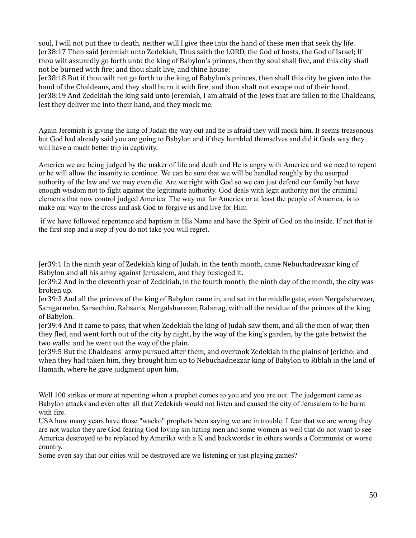soul, I will not put thee to death, neither will I give thee into the hand of these men that seek thy life. Jer38:17 Then said Jeremiah unto Zedekiah, Thus saith the LORD, the God of hosts, the God of Israel; If thou wilt assuredly go forth unto the king of Babylon's princes, then thy soul shall live, and this city shall not be burned with fire; and thou shalt live, and thine house:

Jer38:18 But if thou wilt not go forth to the king of Babylon's princes, then shall this city be given into the hand of the Chaldeans, and they shall burn it with fire, and thou shalt not escape out of their hand. Jer38:19 And Zedekiah the king said unto Jeremiah, I am afraid of the Jews that are fallen to the Chaldeans, lest they deliver me into their hand, and they mock me.

Again Jeremiah is giving the king of Judah the way out and he is afraid they will mock him. It seems treasonous but God had already said you are going to Babylon and if they humbled themselves and did it Gods way they will have a much better trip in captivity.

America we are being judged by the maker of life and death and He is angry with America and we need to repent or he will allow the insanity to continue. We can be sure that we will be handled roughly by the usurped authority of the law and we may even die. Are we right with God so we can just defend our family but have enough wisdom not to fight against the legitimate authority. God deals with legit authority not the criminal elements that now control judged America. The way out for America or at least the people of America, is to make our way to the cross and ask God to forgive us and live for Him

 if we have followed repentance and baptism in His Name and have the Spirit of God on the inside. If not that is the first step and a step if you do not take you will regret.

Jer39:1 In the ninth year of Zedekiah king of Judah, in the tenth month, came Nebuchadrezzar king of Babylon and all his army against Jerusalem, and they besieged it.

Jer39:2 And in the eleventh year of Zedekiah, in the fourth month, the ninth day of the month, the city was broken up.

Jer39:3 And all the princes of the king of Babylon came in, and sat in the middle gate, even Nergalsharezer, Samgarnebo, Sarsechim, Rabsaris, Nergalsharezer, Rabmag, with all the residue of the princes of the king of Babylon.

Jer39:4 And it came to pass, that when Zedekiah the king of Judah saw them, and all the men of war, then they fled, and went forth out of the city by night, by the way of the king's garden, by the gate betwixt the two walls: and he went out the way of the plain.

Jer39:5 But the Chaldeans' army pursued after them, and overtook Zedekiah in the plains of Jericho: and when they had taken him, they brought him up to Nebuchadnezzar king of Babylon to Riblah in the land of Hamath, where he gave judgment upon him.

Well 100 strikes or more at repenting when a prophet comes to you and you are out. The judgement came as Babylon attacks and even after all that Zedekiah would not listen and caused the city of Jerusalem to be burnt with fire.

USA how many years have those "wacko" prophets been saying we are in trouble. I fear that we are wrong they are not wacko they are God fearing God loving sin hating men and some women as well that do not want to see America destroyed to be replaced by Amerika with a K and backwords r in others words a Communist or worse country.

Some even say that our cities will be destroyed are we listening or just playing games?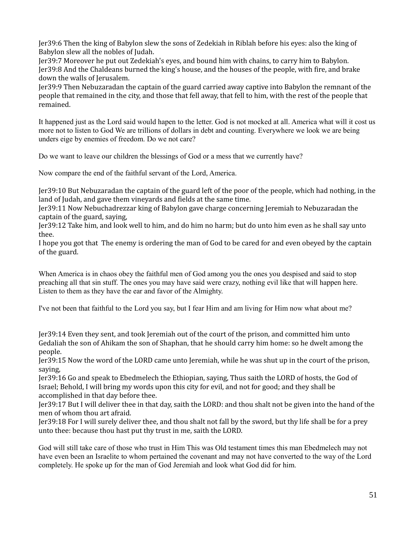Jer39:6 Then the king of Babylon slew the sons of Zedekiah in Riblah before his eyes: also the king of Babylon slew all the nobles of Judah.

Jer39:7 Moreover he put out Zedekiah's eyes, and bound him with chains, to carry him to Babylon. Jer39:8 And the Chaldeans burned the king's house, and the houses of the people, with fire, and brake down the walls of Jerusalem.

Jer39:9 Then Nebuzaradan the captain of the guard carried away captive into Babylon the remnant of the people that remained in the city, and those that fell away, that fell to him, with the rest of the people that remained.

It happened just as the Lord said would hapen to the letter. God is not mocked at all. America what will it cost us more not to listen to God We are trillions of dollars in debt and counting. Everywhere we look we are being unders eige by enemies of freedom. Do we not care?

Do we want to leave our children the blessings of God or a mess that we currently have?

Now compare the end of the faithful servant of the Lord, America.

Jer39:10 But Nebuzaradan the captain of the guard left of the poor of the people, which had nothing, in the land of Judah, and gave them vineyards and fields at the same time.

Jer39:11 Now Nebuchadrezzar king of Babylon gave charge concerning Jeremiah to Nebuzaradan the captain of the guard, saying,

Jer39:12 Take him, and look well to him, and do him no harm; but do unto him even as he shall say unto thee.

I hope you got that The enemy is ordering the man of God to be cared for and even obeyed by the captain of the guard.

When America is in chaos obey the faithful men of God among you the ones you despised and said to stop preaching all that sin stuff. The ones you may have said were crazy, nothing evil like that will happen here. Listen to them as they have the ear and favor of the Almighty.

I've not been that faithful to the Lord you say, but I fear Him and am living for Him now what about me?

Jer39:14 Even they sent, and took Jeremiah out of the court of the prison, and committed him unto Gedaliah the son of Ahikam the son of Shaphan, that he should carry him home: so he dwelt among the people.

Jer39:15 Now the word of the LORD came unto Jeremiah, while he was shut up in the court of the prison, saying,

Jer39:16 Go and speak to Ebedmelech the Ethiopian, saying, Thus saith the LORD of hosts, the God of Israel; Behold, I will bring my words upon this city for evil, and not for good; and they shall be accomplished in that day before thee.

Jer39:17 But I will deliver thee in that day, saith the LORD: and thou shalt not be given into the hand of the men of whom thou art afraid.

Jer39:18 For I will surely deliver thee, and thou shalt not fall by the sword, but thy life shall be for a prey unto thee: because thou hast put thy trust in me, saith the LORD.

God will still take care of those who trust in Him This was Old testament times this man Ebedmelech may not have even been an Israelite to whom pertained the covenant and may not have converted to the way of the Lord completely. He spoke up for the man of God Jeremiah and look what God did for him.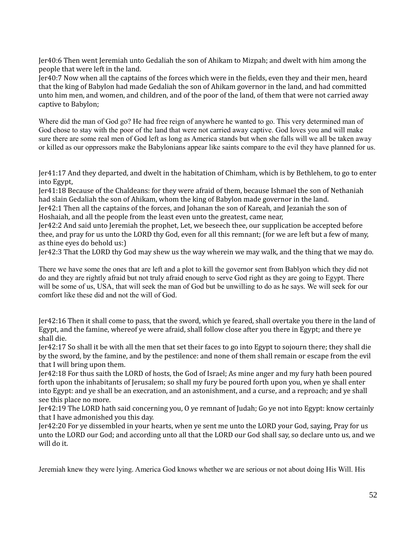Jer40:6 Then went Jeremiah unto Gedaliah the son of Ahikam to Mizpah; and dwelt with him among the people that were left in the land.

Jer40:7 Now when all the captains of the forces which were in the fields, even they and their men, heard that the king of Babylon had made Gedaliah the son of Ahikam governor in the land, and had committed unto him men, and women, and children, and of the poor of the land, of them that were not carried away captive to Babylon;

Where did the man of God go? He had free reign of anywhere he wanted to go. This very determined man of God chose to stay with the poor of the land that were not carried away captive. God loves you and will make sure there are some real men of God left as long as America stands but when she falls will we all be taken away or killed as our oppressors make the Babylonians appear like saints compare to the evil they have planned for us.

Jer41:17 And they departed, and dwelt in the habitation of Chimham, which is by Bethlehem, to go to enter into Egypt,

Jer41:18 Because of the Chaldeans: for they were afraid of them, because Ishmael the son of Nethaniah had slain Gedaliah the son of Ahikam, whom the king of Babylon made governor in the land.

Jer42:1 Then all the captains of the forces, and Johanan the son of Kareah, and Jezaniah the son of Hoshaiah, and all the people from the least even unto the greatest, came near,

Jer42:2 And said unto Jeremiah the prophet, Let, we beseech thee, our supplication be accepted before thee, and pray for us unto the LORD thy God, even for all this remnant; (for we are left but a few of many, as thine eyes do behold us:)

Jer42:3 That the LORD thy God may shew us the way wherein we may walk, and the thing that we may do.

There we have some the ones that are left and a plot to kill the governor sent from Bablyon which they did not do and they are rightly afraid but not truly afraid enough to serve God right as they are going to Egypt. There will be some of us, USA, that will seek the man of God but be unwilling to do as he says. We will seek for our comfort like these did and not the will of God.

Jer42:16 Then it shall come to pass, that the sword, which ye feared, shall overtake you there in the land of Egypt, and the famine, whereof ye were afraid, shall follow close after you there in Egypt; and there ye shall die.

Jer42:17 So shall it be with all the men that set their faces to go into Egypt to sojourn there; they shall die by the sword, by the famine, and by the pestilence: and none of them shall remain or escape from the evil that I will bring upon them.

Jer42:18 For thus saith the LORD of hosts, the God of Israel; As mine anger and my fury hath been poured forth upon the inhabitants of Jerusalem; so shall my fury be poured forth upon you, when ye shall enter into Egypt: and ye shall be an execration, and an astonishment, and a curse, and a reproach; and ye shall see this place no more.

Jer42:19 The LORD hath said concerning you, O ye remnant of Judah; Go ye not into Egypt: know certainly that I have admonished you this day.

Jer42:20 For ye dissembled in your hearts, when ye sent me unto the LORD your God, saying, Pray for us unto the LORD our God; and according unto all that the LORD our God shall say, so declare unto us, and we will do it.

Jeremiah knew they were lying. America God knows whether we are serious or not about doing His Will. His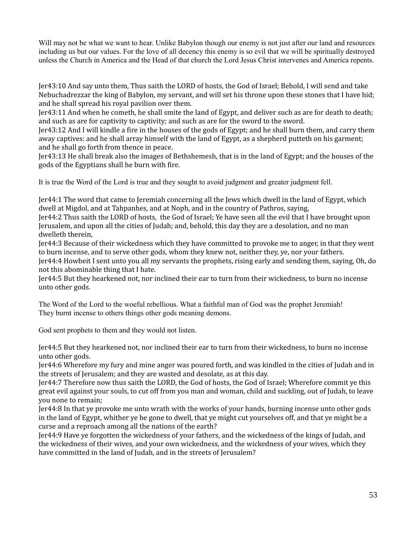Will may not be what we want to hear. Unlike Babylon though our enemy is not just after our land and resources including us but our values. For the love of all decency this enemy is so evil that we will be spiritually destroyed unless the Church in America and the Head of that church the Lord Jesus Christ intervenes and America repents.

Jer43:10 And say unto them, Thus saith the LORD of hosts, the God of Israel; Behold, I will send and take Nebuchadrezzar the king of Babylon, my servant, and will set his throne upon these stones that I have hid; and he shall spread his royal pavilion over them.

Jer43:11 And when he cometh, he shall smite the land of Egypt, and deliver such as are for death to death; and such as are for captivity to captivity; and such as are for the sword to the sword.

Jer43:12 And I will kindle a fire in the houses of the gods of Egypt; and he shall burn them, and carry them away captives: and he shall array himself with the land of Egypt, as a shepherd putteth on his garment; and he shall go forth from thence in peace.

Jer43:13 He shall break also the images of Bethshemesh, that is in the land of Egypt; and the houses of the gods of the Egyptians shall he burn with fire.

It is true the Word of the Lord is true and they sought to avoid judgment and greater judgment fell.

Jer44:1 The word that came to Jeremiah concerning all the Jews which dwell in the land of Egypt, which dwell at Migdol, and at Tahpanhes, and at Noph, and in the country of Pathros, saying,

Jer44:2 Thus saith the LORD of hosts, the God of Israel; Ye have seen all the evil that I have brought upon Jerusalem, and upon all the cities of Judah; and, behold, this day they are a desolation, and no man dwelleth therein,

Jer44:3 Because of their wickedness which they have committed to provoke me to anger, in that they went to burn incense, and to serve other gods, whom they knew not, neither they, ye, nor your fathers.

Jer44:4 Howbeit I sent unto you all my servants the prophets, rising early and sending them, saying, Oh, do not this abominable thing that I hate.

Jer44:5 But they hearkened not, nor inclined their ear to turn from their wickedness, to burn no incense unto other gods.

The Word of the Lord to the woeful rebellious. What a faithful man of God was the prophet Jeremiah! They burnt incense to others things other gods meaning demons.

God sent prophets to them and they would not listen.

Jer44:5 But they hearkened not, nor inclined their ear to turn from their wickedness, to burn no incense unto other gods.

Jer44:6 Wherefore my fury and mine anger was poured forth, and was kindled in the cities of Judah and in the streets of Jerusalem; and they are wasted and desolate, as at this day.

Jer44:7 Therefore now thus saith the LORD, the God of hosts, the God of Israel; Wherefore commit ye this great evil against your souls, to cut off from you man and woman, child and suckling, out of Judah, to leave you none to remain;

Jer44:8 In that ye provoke me unto wrath with the works of your hands, burning incense unto other gods in the land of Egypt, whither ye be gone to dwell, that ye might cut yourselves off, and that ye might be a curse and a reproach among all the nations of the earth?

Jer44:9 Have ye forgotten the wickedness of your fathers, and the wickedness of the kings of Judah, and the wickedness of their wives, and your own wickedness, and the wickedness of your wives, which they have committed in the land of Judah, and in the streets of Jerusalem?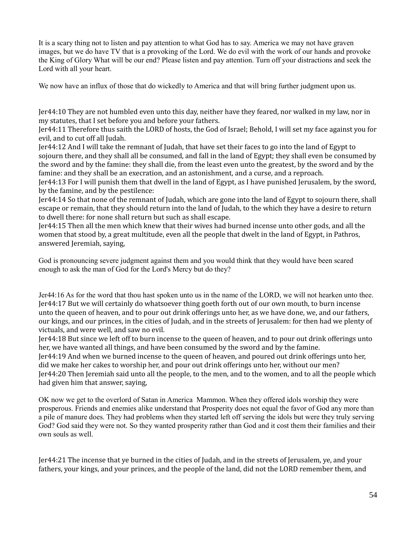It is a scary thing not to listen and pay attention to what God has to say. America we may not have graven images, but we do have TV that is a provoking of the Lord. We do evil with the work of our hands and provoke the King of Glory What will be our end? Please listen and pay attention. Turn off your distractions and seek the Lord with all your heart.

We now have an influx of those that do wickedly to America and that will bring further judgment upon us.

Jer44:10 They are not humbled even unto this day, neither have they feared, nor walked in my law, nor in my statutes, that I set before you and before your fathers.

Jer44:11 Therefore thus saith the LORD of hosts, the God of Israel; Behold, I will set my face against you for evil, and to cut off all Judah.

Jer44:12 And I will take the remnant of Judah, that have set their faces to go into the land of Egypt to sojourn there, and they shall all be consumed, and fall in the land of Egypt; they shall even be consumed by the sword and by the famine: they shall die, from the least even unto the greatest, by the sword and by the famine: and they shall be an execration, and an astonishment, and a curse, and a reproach.

Jer44:13 For I will punish them that dwell in the land of Egypt, as I have punished Jerusalem, by the sword, by the famine, and by the pestilence:

Jer44:14 So that none of the remnant of Judah, which are gone into the land of Egypt to sojourn there, shall escape or remain, that they should return into the land of Judah, to the which they have a desire to return to dwell there: for none shall return but such as shall escape.

Jer44:15 Then all the men which knew that their wives had burned incense unto other gods, and all the women that stood by, a great multitude, even all the people that dwelt in the land of Egypt, in Pathros, answered Jeremiah, saying,

God is pronouncing severe judgment against them and you would think that they would have been scared enough to ask the man of God for the Lord's Mercy but do they?

Jer44:16 As for the word that thou hast spoken unto us in the name of the LORD, we will not hearken unto thee. Jer44:17 But we will certainly do whatsoever thing goeth forth out of our own mouth, to burn incense unto the queen of heaven, and to pour out drink offerings unto her, as we have done, we, and our fathers, our kings, and our princes, in the cities of Judah, and in the streets of Jerusalem: for then had we plenty of victuals, and were well, and saw no evil.

Jer44:18 But since we left off to burn incense to the queen of heaven, and to pour out drink offerings unto her, we have wanted all things, and have been consumed by the sword and by the famine.

Jer44:19 And when we burned incense to the queen of heaven, and poured out drink offerings unto her, did we make her cakes to worship her, and pour out drink offerings unto her, without our men? Jer44:20 Then Jeremiah said unto all the people, to the men, and to the women, and to all the people which had given him that answer, saying,

OK now we get to the overlord of Satan in America Mammon. When they offered idols worship they were prosperous. Friends and enemies alike understand that Prosperity does not equal the favor of God any more than a pile of manure does. They had problems when they started left off serving the idols but were they truly serving God? God said they were not. So they wanted prosperity rather than God and it cost them their families and their own souls as well.

Jer44:21 The incense that ye burned in the cities of Judah, and in the streets of Jerusalem, ye, and your fathers, your kings, and your princes, and the people of the land, did not the LORD remember them, and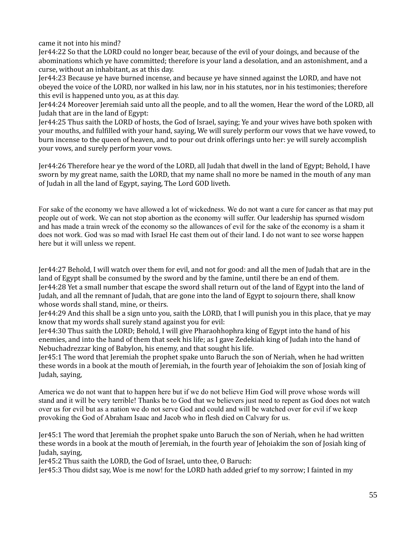came it not into his mind?

Jer44:22 So that the LORD could no longer bear, because of the evil of your doings, and because of the abominations which ye have committed; therefore is your land a desolation, and an astonishment, and a curse, without an inhabitant, as at this day.

Jer44:23 Because ye have burned incense, and because ye have sinned against the LORD, and have not obeyed the voice of the LORD, nor walked in his law, nor in his statutes, nor in his testimonies; therefore this evil is happened unto you, as at this day.

Jer44:24 Moreover Jeremiah said unto all the people, and to all the women, Hear the word of the LORD, all Judah that are in the land of Egypt:

Jer44:25 Thus saith the LORD of hosts, the God of Israel, saying; Ye and your wives have both spoken with your mouths, and fulfilled with your hand, saying, We will surely perform our vows that we have vowed, to burn incense to the queen of heaven, and to pour out drink offerings unto her: ye will surely accomplish your vows, and surely perform your vows.

Jer44:26 Therefore hear ye the word of the LORD, all Judah that dwell in the land of Egypt; Behold, I have sworn by my great name, saith the LORD, that my name shall no more be named in the mouth of any man of Judah in all the land of Egypt, saying, The Lord GOD liveth.

For sake of the economy we have allowed a lot of wickedness. We do not want a cure for cancer as that may put people out of work. We can not stop abortion as the economy will suffer. Our leadership has spurned wisdom and has made a train wreck of the economy so the allowances of evil for the sake of the economy is a sham it does not work. God was so mad with Israel He cast them out of their land. I do not want to see worse happen here but it will unless we repent.

Jer44:27 Behold, I will watch over them for evil, and not for good: and all the men of Judah that are in the land of Egypt shall be consumed by the sword and by the famine, until there be an end of them. Jer44:28 Yet a small number that escape the sword shall return out of the land of Egypt into the land of Judah, and all the remnant of Judah, that are gone into the land of Egypt to sojourn there, shall know whose words shall stand, mine, or theirs.

Jer44:29 And this shall be a sign unto you, saith the LORD, that I will punish you in this place, that ye may know that my words shall surely stand against you for evil:

Jer44:30 Thus saith the LORD; Behold, I will give Pharaohhophra king of Egypt into the hand of his enemies, and into the hand of them that seek his life; as I gave Zedekiah king of Judah into the hand of Nebuchadrezzar king of Babylon, his enemy, and that sought his life.

Jer45:1 The word that Jeremiah the prophet spake unto Baruch the son of Neriah, when he had written these words in a book at the mouth of Jeremiah, in the fourth year of Jehoiakim the son of Josiah king of Judah, saying,

America we do not want that to happen here but if we do not believe Him God will prove whose words will stand and it will be very terrible! Thanks be to God that we believers just need to repent as God does not watch over us for evil but as a nation we do not serve God and could and will be watched over for evil if we keep provoking the God of Abraham Isaac and Jacob who in flesh died on Calvary for us.

Jer45:1 The word that Jeremiah the prophet spake unto Baruch the son of Neriah, when he had written these words in a book at the mouth of Jeremiah, in the fourth year of Jehoiakim the son of Josiah king of Judah, saying,

Jer45:2 Thus saith the LORD, the God of Israel, unto thee, O Baruch:

Jer45:3 Thou didst say, Woe is me now! for the LORD hath added grief to my sorrow; I fainted in my